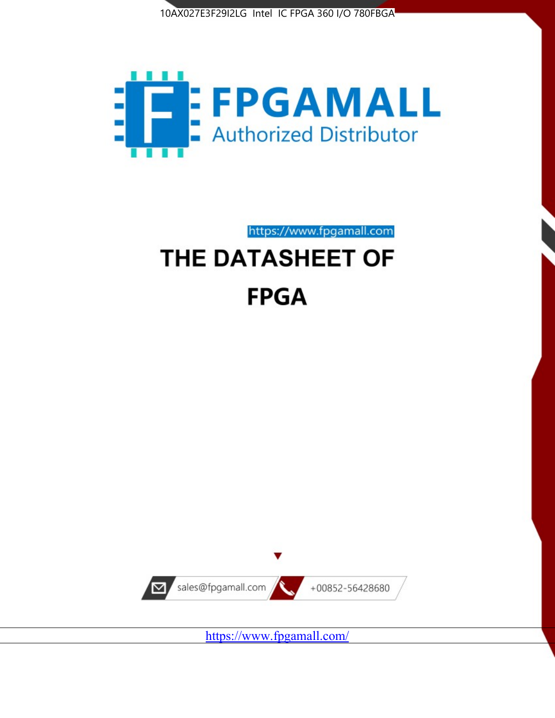



https://www.fpgamall.com

# THE DATASHEET OF **FPGA**



<https://www.fpgamall.com/>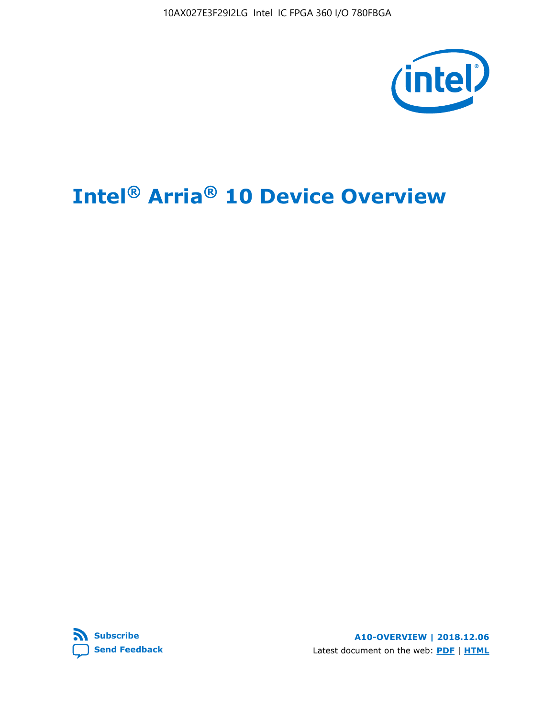10AX027E3F29I2LG Intel IC FPGA 360 I/O 780FBGA



# **Intel® Arria® 10 Device Overview**



**A10-OVERVIEW | 2018.12.06** Latest document on the web: **[PDF](https://www.intel.com/content/dam/www/programmable/us/en/pdfs/literature/hb/arria-10/a10_overview.pdf)** | **[HTML](https://www.intel.com/content/www/us/en/programmable/documentation/sam1403480274650.html)**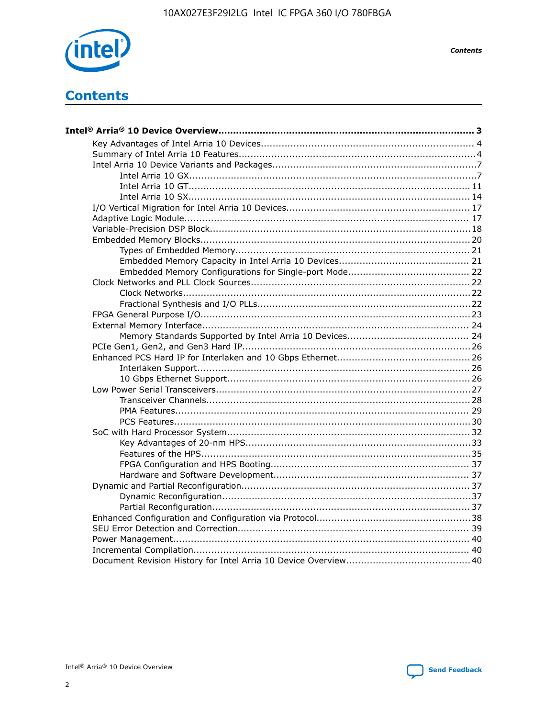

**Contents**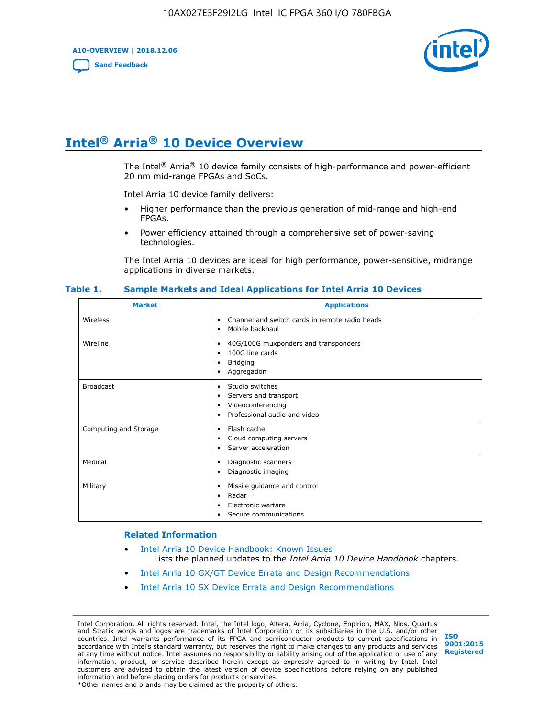**A10-OVERVIEW | 2018.12.06**

**[Send Feedback](mailto:FPGAtechdocfeedback@intel.com?subject=Feedback%20on%20Intel%20Arria%2010%20Device%20Overview%20(A10-OVERVIEW%202018.12.06)&body=We%20appreciate%20your%20feedback.%20In%20your%20comments,%20also%20specify%20the%20page%20number%20or%20paragraph.%20Thank%20you.)**



## **Intel® Arria® 10 Device Overview**

The Intel<sup>®</sup> Arria<sup>®</sup> 10 device family consists of high-performance and power-efficient 20 nm mid-range FPGAs and SoCs.

Intel Arria 10 device family delivers:

- Higher performance than the previous generation of mid-range and high-end FPGAs.
- Power efficiency attained through a comprehensive set of power-saving technologies.

The Intel Arria 10 devices are ideal for high performance, power-sensitive, midrange applications in diverse markets.

| <b>Market</b>         | <b>Applications</b>                                                                                               |
|-----------------------|-------------------------------------------------------------------------------------------------------------------|
| Wireless              | Channel and switch cards in remote radio heads<br>٠<br>Mobile backhaul<br>٠                                       |
| Wireline              | 40G/100G muxponders and transponders<br>٠<br>100G line cards<br>٠<br><b>Bridging</b><br>٠<br>Aggregation<br>٠     |
| <b>Broadcast</b>      | Studio switches<br>٠<br>Servers and transport<br>٠<br>Videoconferencing<br>٠<br>Professional audio and video<br>٠ |
| Computing and Storage | Flash cache<br>٠<br>Cloud computing servers<br>٠<br>Server acceleration<br>٠                                      |
| Medical               | Diagnostic scanners<br>٠<br>Diagnostic imaging<br>٠                                                               |
| Military              | Missile guidance and control<br>٠<br>Radar<br>٠<br>Electronic warfare<br>٠<br>Secure communications<br>٠          |

#### **Table 1. Sample Markets and Ideal Applications for Intel Arria 10 Devices**

#### **Related Information**

- [Intel Arria 10 Device Handbook: Known Issues](http://www.altera.com/support/kdb/solutions/rd07302013_646.html) Lists the planned updates to the *Intel Arria 10 Device Handbook* chapters.
- [Intel Arria 10 GX/GT Device Errata and Design Recommendations](https://www.intel.com/content/www/us/en/programmable/documentation/agz1493851706374.html#yqz1494433888646)
- [Intel Arria 10 SX Device Errata and Design Recommendations](https://www.intel.com/content/www/us/en/programmable/documentation/cru1462832385668.html#cru1462832558642)

Intel Corporation. All rights reserved. Intel, the Intel logo, Altera, Arria, Cyclone, Enpirion, MAX, Nios, Quartus and Stratix words and logos are trademarks of Intel Corporation or its subsidiaries in the U.S. and/or other countries. Intel warrants performance of its FPGA and semiconductor products to current specifications in accordance with Intel's standard warranty, but reserves the right to make changes to any products and services at any time without notice. Intel assumes no responsibility or liability arising out of the application or use of any information, product, or service described herein except as expressly agreed to in writing by Intel. Intel customers are advised to obtain the latest version of device specifications before relying on any published information and before placing orders for products or services. \*Other names and brands may be claimed as the property of others.

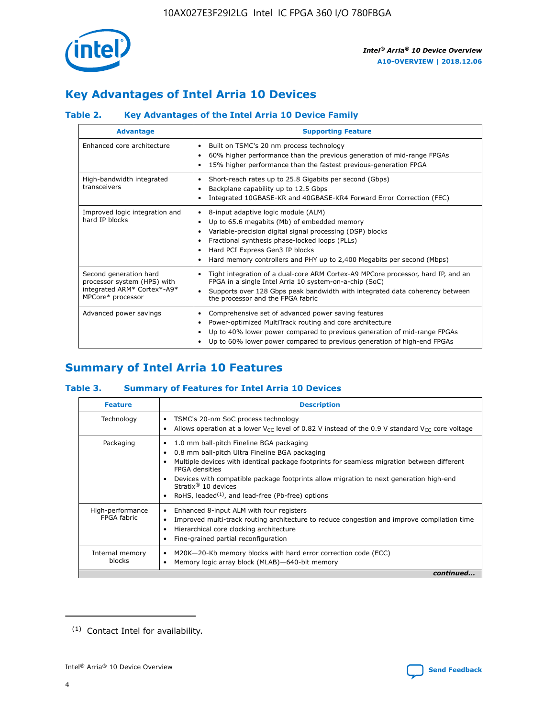

## **Key Advantages of Intel Arria 10 Devices**

## **Table 2. Key Advantages of the Intel Arria 10 Device Family**

| <b>Advantage</b>                                                                                          | <b>Supporting Feature</b>                                                                                                                                                                                                                                                                                                |  |  |  |  |  |  |
|-----------------------------------------------------------------------------------------------------------|--------------------------------------------------------------------------------------------------------------------------------------------------------------------------------------------------------------------------------------------------------------------------------------------------------------------------|--|--|--|--|--|--|
| Enhanced core architecture                                                                                | Built on TSMC's 20 nm process technology<br>٠<br>60% higher performance than the previous generation of mid-range FPGAs<br>٠<br>15% higher performance than the fastest previous-generation FPGA<br>٠                                                                                                                    |  |  |  |  |  |  |
| High-bandwidth integrated<br>transceivers                                                                 | Short-reach rates up to 25.8 Gigabits per second (Gbps)<br>٠<br>Backplane capability up to 12.5 Gbps<br>٠<br>Integrated 10GBASE-KR and 40GBASE-KR4 Forward Error Correction (FEC)<br>٠                                                                                                                                   |  |  |  |  |  |  |
| Improved logic integration and<br>hard IP blocks                                                          | 8-input adaptive logic module (ALM)<br>٠<br>Up to 65.6 megabits (Mb) of embedded memory<br>٠<br>Variable-precision digital signal processing (DSP) blocks<br>Fractional synthesis phase-locked loops (PLLs)<br>Hard PCI Express Gen3 IP blocks<br>Hard memory controllers and PHY up to 2,400 Megabits per second (Mbps) |  |  |  |  |  |  |
| Second generation hard<br>processor system (HPS) with<br>integrated ARM* Cortex*-A9*<br>MPCore* processor | Tight integration of a dual-core ARM Cortex-A9 MPCore processor, hard IP, and an<br>٠<br>FPGA in a single Intel Arria 10 system-on-a-chip (SoC)<br>Supports over 128 Gbps peak bandwidth with integrated data coherency between<br>$\bullet$<br>the processor and the FPGA fabric                                        |  |  |  |  |  |  |
| Advanced power savings                                                                                    | Comprehensive set of advanced power saving features<br>٠<br>Power-optimized MultiTrack routing and core architecture<br>٠<br>Up to 40% lower power compared to previous generation of mid-range FPGAs<br>٠<br>Up to 60% lower power compared to previous generation of high-end FPGAs                                    |  |  |  |  |  |  |

## **Summary of Intel Arria 10 Features**

#### **Table 3. Summary of Features for Intel Arria 10 Devices**

| <b>Feature</b>                  | <b>Description</b>                                                                                                                                                                                                                                                                                                                                                                                       |
|---------------------------------|----------------------------------------------------------------------------------------------------------------------------------------------------------------------------------------------------------------------------------------------------------------------------------------------------------------------------------------------------------------------------------------------------------|
| Technology                      | TSMC's 20-nm SoC process technology<br>٠<br>Allows operation at a lower $V_{\text{CC}}$ level of 0.82 V instead of the 0.9 V standard $V_{\text{CC}}$ core voltage                                                                                                                                                                                                                                       |
| Packaging                       | 1.0 mm ball-pitch Fineline BGA packaging<br>0.8 mm ball-pitch Ultra Fineline BGA packaging<br>Multiple devices with identical package footprints for seamless migration between different<br><b>FPGA</b> densities<br>Devices with compatible package footprints allow migration to next generation high-end<br>Stratix $\mathcal{R}$ 10 devices<br>RoHS, leaded $(1)$ , and lead-free (Pb-free) options |
| High-performance<br>FPGA fabric | Enhanced 8-input ALM with four registers<br>٠<br>Improved multi-track routing architecture to reduce congestion and improve compilation time<br>Hierarchical core clocking architecture<br>Fine-grained partial reconfiguration                                                                                                                                                                          |
| Internal memory<br>blocks       | M20K-20-Kb memory blocks with hard error correction code (ECC)<br>Memory logic array block (MLAB)-640-bit memory                                                                                                                                                                                                                                                                                         |
|                                 | continued                                                                                                                                                                                                                                                                                                                                                                                                |



<sup>(1)</sup> Contact Intel for availability.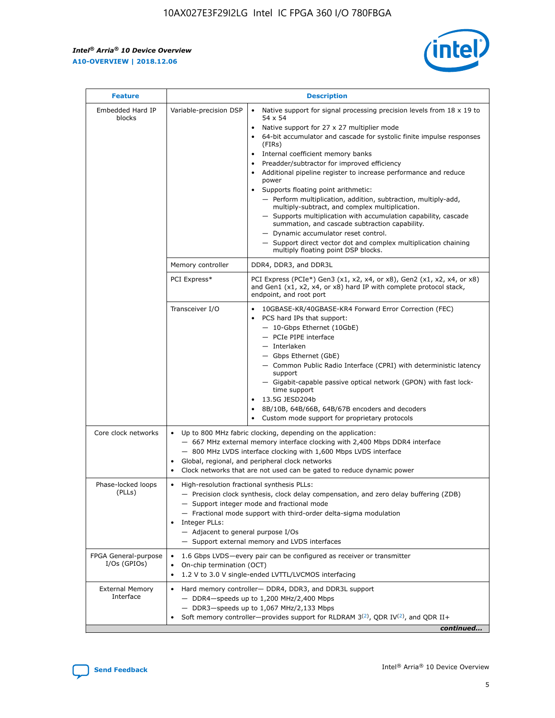$\mathsf{r}$ 



| <b>Feature</b>                         |                                                                                                                | <b>Description</b>                                                                                                                                                                                                                                                                                                                                                                                                                                                                                                                                                                                                                                                                                                                                                                                                                          |
|----------------------------------------|----------------------------------------------------------------------------------------------------------------|---------------------------------------------------------------------------------------------------------------------------------------------------------------------------------------------------------------------------------------------------------------------------------------------------------------------------------------------------------------------------------------------------------------------------------------------------------------------------------------------------------------------------------------------------------------------------------------------------------------------------------------------------------------------------------------------------------------------------------------------------------------------------------------------------------------------------------------------|
| Embedded Hard IP<br>blocks             | Variable-precision DSP                                                                                         | Native support for signal processing precision levels from $18 \times 19$ to<br>$\bullet$<br>54 x 54<br>Native support for 27 x 27 multiplier mode<br>64-bit accumulator and cascade for systolic finite impulse responses<br>(FIRS)<br>Internal coefficient memory banks<br>٠<br>Preadder/subtractor for improved efficiency<br>Additional pipeline register to increase performance and reduce<br>power<br>Supports floating point arithmetic:<br>- Perform multiplication, addition, subtraction, multiply-add,<br>multiply-subtract, and complex multiplication.<br>- Supports multiplication with accumulation capability, cascade<br>summation, and cascade subtraction capability.<br>- Dynamic accumulator reset control.<br>- Support direct vector dot and complex multiplication chaining<br>multiply floating point DSP blocks. |
|                                        | Memory controller                                                                                              | DDR4, DDR3, and DDR3L                                                                                                                                                                                                                                                                                                                                                                                                                                                                                                                                                                                                                                                                                                                                                                                                                       |
|                                        | PCI Express*                                                                                                   | PCI Express (PCIe*) Gen3 (x1, x2, x4, or x8), Gen2 (x1, x2, x4, or x8)<br>and Gen1 (x1, x2, x4, or x8) hard IP with complete protocol stack,<br>endpoint, and root port                                                                                                                                                                                                                                                                                                                                                                                                                                                                                                                                                                                                                                                                     |
|                                        | Transceiver I/O                                                                                                | 10GBASE-KR/40GBASE-KR4 Forward Error Correction (FEC)<br>PCS hard IPs that support:<br>- 10-Gbps Ethernet (10GbE)<br>- PCIe PIPE interface<br>- Interlaken<br>- Gbps Ethernet (GbE)<br>- Common Public Radio Interface (CPRI) with deterministic latency<br>support<br>- Gigabit-capable passive optical network (GPON) with fast lock-<br>time support<br>13.5G JESD204b<br>8B/10B, 64B/66B, 64B/67B encoders and decoders<br>Custom mode support for proprietary protocols                                                                                                                                                                                                                                                                                                                                                                |
| Core clock networks                    | $\bullet$                                                                                                      | Up to 800 MHz fabric clocking, depending on the application:<br>- 667 MHz external memory interface clocking with 2,400 Mbps DDR4 interface<br>- 800 MHz LVDS interface clocking with 1,600 Mbps LVDS interface<br>Global, regional, and peripheral clock networks<br>Clock networks that are not used can be gated to reduce dynamic power                                                                                                                                                                                                                                                                                                                                                                                                                                                                                                 |
| Phase-locked loops<br>(PLLs)           | High-resolution fractional synthesis PLLs:<br>$\bullet$<br>Integer PLLs:<br>- Adjacent to general purpose I/Os | - Precision clock synthesis, clock delay compensation, and zero delay buffering (ZDB)<br>- Support integer mode and fractional mode<br>- Fractional mode support with third-order delta-sigma modulation<br>- Support external memory and LVDS interfaces                                                                                                                                                                                                                                                                                                                                                                                                                                                                                                                                                                                   |
| FPGA General-purpose<br>$I/Os$ (GPIOs) | On-chip termination (OCT)<br>$\bullet$                                                                         | 1.6 Gbps LVDS-every pair can be configured as receiver or transmitter<br>1.2 V to 3.0 V single-ended LVTTL/LVCMOS interfacing                                                                                                                                                                                                                                                                                                                                                                                                                                                                                                                                                                                                                                                                                                               |
| <b>External Memory</b><br>Interface    |                                                                                                                | Hard memory controller- DDR4, DDR3, and DDR3L support<br>$-$ DDR4 $-$ speeds up to 1,200 MHz/2,400 Mbps<br>- DDR3-speeds up to 1,067 MHz/2,133 Mbps<br>Soft memory controller—provides support for RLDRAM $3^{(2)}$ , QDR IV $(2)$ , and QDR II+<br>continued                                                                                                                                                                                                                                                                                                                                                                                                                                                                                                                                                                               |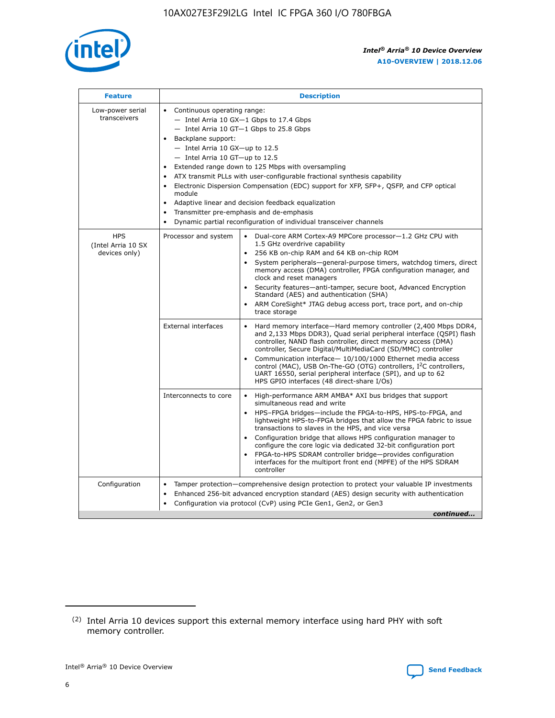

| <b>Feature</b>                                    | <b>Description</b>                                                                                                                                                                                                                                                                                                                                                                                                                                                                                                                                                                                                                                                 |
|---------------------------------------------------|--------------------------------------------------------------------------------------------------------------------------------------------------------------------------------------------------------------------------------------------------------------------------------------------------------------------------------------------------------------------------------------------------------------------------------------------------------------------------------------------------------------------------------------------------------------------------------------------------------------------------------------------------------------------|
| Low-power serial<br>transceivers                  | • Continuous operating range:<br>- Intel Arria 10 GX-1 Gbps to 17.4 Gbps<br>- Intel Arria 10 GT-1 Gbps to 25.8 Gbps<br>Backplane support:<br>$-$ Intel Arria 10 GX-up to 12.5<br>- Intel Arria 10 GT-up to 12.5<br>Extended range down to 125 Mbps with oversampling<br>ATX transmit PLLs with user-configurable fractional synthesis capability<br>$\bullet$<br>Electronic Dispersion Compensation (EDC) support for XFP, SFP+, OSFP, and CFP optical<br>module<br>Adaptive linear and decision feedback equalization<br>$\bullet$<br>Transmitter pre-emphasis and de-emphasis<br>$\bullet$<br>Dynamic partial reconfiguration of individual transceiver channels |
| <b>HPS</b><br>(Intel Arria 10 SX<br>devices only) | • Dual-core ARM Cortex-A9 MPCore processor-1.2 GHz CPU with<br>Processor and system<br>1.5 GHz overdrive capability<br>256 KB on-chip RAM and 64 KB on-chip ROM<br>$\bullet$<br>System peripherals—general-purpose timers, watchdog timers, direct<br>memory access (DMA) controller, FPGA configuration manager, and<br>clock and reset managers<br>Security features—anti-tamper, secure boot, Advanced Encryption<br>$\bullet$<br>Standard (AES) and authentication (SHA)<br>ARM CoreSight* JTAG debug access port, trace port, and on-chip<br>$\bullet$<br>trace storage                                                                                       |
|                                                   | <b>External interfaces</b><br>Hard memory interface-Hard memory controller (2,400 Mbps DDR4,<br>$\bullet$<br>and 2,133 Mbps DDR3), Quad serial peripheral interface (OSPI) flash<br>controller, NAND flash controller, direct memory access (DMA)<br>controller, Secure Digital/MultiMediaCard (SD/MMC) controller<br>Communication interface-10/100/1000 Ethernet media access<br>$\bullet$<br>control (MAC), USB On-The-GO (OTG) controllers, I <sup>2</sup> C controllers,<br>UART 16550, serial peripheral interface (SPI), and up to 62<br>HPS GPIO interfaces (48 direct-share I/Os)                                                                         |
|                                                   | Interconnects to core<br>High-performance ARM AMBA* AXI bus bridges that support<br>$\bullet$<br>simultaneous read and write<br>HPS-FPGA bridges-include the FPGA-to-HPS, HPS-to-FPGA, and<br>$\bullet$<br>lightweight HPS-to-FPGA bridges that allow the FPGA fabric to issue<br>transactions to slaves in the HPS, and vice versa<br>Configuration bridge that allows HPS configuration manager to<br>configure the core logic via dedicated 32-bit configuration port<br>FPGA-to-HPS SDRAM controller bridge-provides configuration<br>interfaces for the multiport front end (MPFE) of the HPS SDRAM<br>controller                                             |
| Configuration                                     | Tamper protection—comprehensive design protection to protect your valuable IP investments<br>Enhanced 256-bit advanced encryption standard (AES) design security with authentication<br>٠<br>Configuration via protocol (CvP) using PCIe Gen1, Gen2, or Gen3<br>continued                                                                                                                                                                                                                                                                                                                                                                                          |

<sup>(2)</sup> Intel Arria 10 devices support this external memory interface using hard PHY with soft memory controller.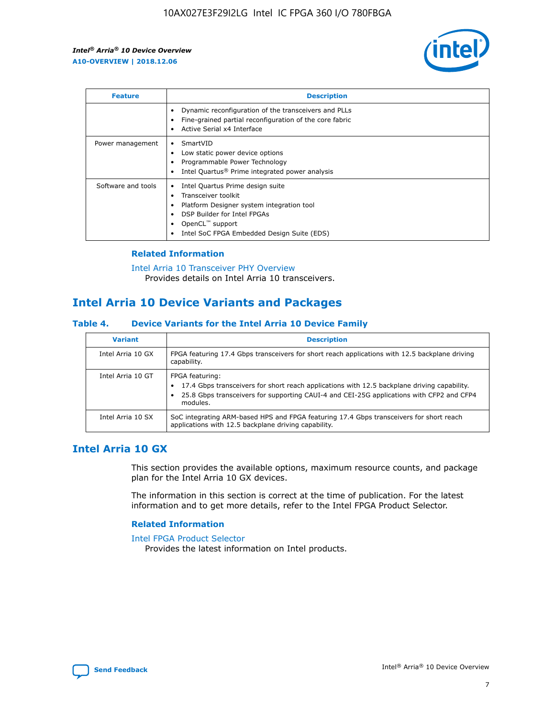

| <b>Feature</b>     | <b>Description</b>                                                                                                                                                                                               |
|--------------------|------------------------------------------------------------------------------------------------------------------------------------------------------------------------------------------------------------------|
|                    | Dynamic reconfiguration of the transceivers and PLLs<br>Fine-grained partial reconfiguration of the core fabric<br>Active Serial x4 Interface                                                                    |
| Power management   | SmartVID<br>Low static power device options<br>Programmable Power Technology<br>Intel Quartus <sup>®</sup> Prime integrated power analysis                                                                       |
| Software and tools | Intel Quartus Prime design suite<br>Transceiver toolkit<br>Platform Designer system integration tool<br>DSP Builder for Intel FPGAs<br>OpenCL <sup>™</sup> support<br>Intel SoC FPGA Embedded Design Suite (EDS) |

#### **Related Information**

[Intel Arria 10 Transceiver PHY Overview](https://www.intel.com/content/www/us/en/programmable/documentation/nik1398707230472.html#nik1398706768037) Provides details on Intel Arria 10 transceivers.

## **Intel Arria 10 Device Variants and Packages**

#### **Table 4. Device Variants for the Intel Arria 10 Device Family**

| <b>Variant</b>    | <b>Description</b>                                                                                                                                                                                                     |
|-------------------|------------------------------------------------------------------------------------------------------------------------------------------------------------------------------------------------------------------------|
| Intel Arria 10 GX | FPGA featuring 17.4 Gbps transceivers for short reach applications with 12.5 backplane driving<br>capability.                                                                                                          |
| Intel Arria 10 GT | FPGA featuring:<br>17.4 Gbps transceivers for short reach applications with 12.5 backplane driving capability.<br>25.8 Gbps transceivers for supporting CAUI-4 and CEI-25G applications with CFP2 and CFP4<br>modules. |
| Intel Arria 10 SX | SoC integrating ARM-based HPS and FPGA featuring 17.4 Gbps transceivers for short reach<br>applications with 12.5 backplane driving capability.                                                                        |

## **Intel Arria 10 GX**

This section provides the available options, maximum resource counts, and package plan for the Intel Arria 10 GX devices.

The information in this section is correct at the time of publication. For the latest information and to get more details, refer to the Intel FPGA Product Selector.

#### **Related Information**

#### [Intel FPGA Product Selector](http://www.altera.com/products/selector/psg-selector.html) Provides the latest information on Intel products.

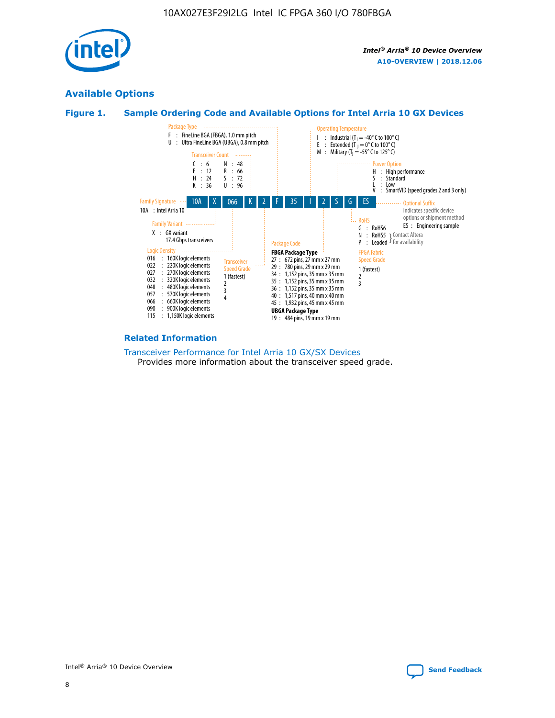

## **Available Options**





#### **Related Information**

#### [Transceiver Performance for Intel Arria 10 GX/SX Devices](https://www.intel.com/content/www/us/en/programmable/documentation/mcn1413182292568.html#mcn1413213965502) Provides more information about the transceiver speed grade.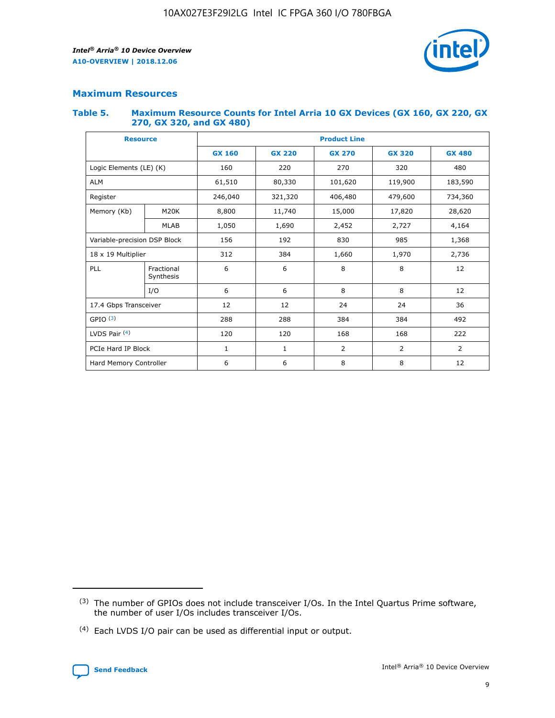

## **Maximum Resources**

#### **Table 5. Maximum Resource Counts for Intel Arria 10 GX Devices (GX 160, GX 220, GX 270, GX 320, and GX 480)**

| <b>Resource</b>              |                         | <b>Product Line</b> |                                                 |                    |                |                |  |  |  |
|------------------------------|-------------------------|---------------------|-------------------------------------------------|--------------------|----------------|----------------|--|--|--|
|                              |                         | <b>GX 160</b>       | <b>GX 220</b><br><b>GX 270</b><br><b>GX 320</b> |                    |                | <b>GX 480</b>  |  |  |  |
| Logic Elements (LE) (K)      |                         | 160                 | 220                                             | 270                | 320            | 480            |  |  |  |
| <b>ALM</b>                   |                         | 61,510              | 80,330                                          | 101,620            | 119,900        | 183,590        |  |  |  |
| Register                     |                         | 246,040             | 321,320                                         | 406,480<br>479,600 |                | 734,360        |  |  |  |
| Memory (Kb)                  | M <sub>20</sub> K       | 8,800               | 11,740                                          | 15,000             | 17,820         | 28,620         |  |  |  |
| <b>MLAB</b>                  |                         | 1,050               | 1,690<br>2,452                                  |                    | 2,727          | 4,164          |  |  |  |
| Variable-precision DSP Block |                         | 156                 | 192                                             | 830                | 985            | 1,368          |  |  |  |
|                              | 18 x 19 Multiplier      |                     | 384                                             | 1,660              | 1,970          | 2,736          |  |  |  |
| PLL                          | Fractional<br>Synthesis | 6                   | 6                                               | 8                  | 8              | 12             |  |  |  |
|                              | I/O                     | 6                   | 6                                               | 8                  | 8              | 12             |  |  |  |
| 17.4 Gbps Transceiver        |                         | 12                  | 12                                              | 24<br>24           |                | 36             |  |  |  |
| GPIO <sup>(3)</sup>          |                         | 288                 | 288                                             | 384<br>384         |                | 492            |  |  |  |
| LVDS Pair $(4)$              |                         | 120                 | 120                                             | 168                | 168            | 222            |  |  |  |
| PCIe Hard IP Block           |                         | 1                   | 1                                               | 2                  | $\overline{2}$ | $\overline{2}$ |  |  |  |
| Hard Memory Controller       |                         | 6                   | 6                                               | 8                  | 8              | 12             |  |  |  |

<sup>(4)</sup> Each LVDS I/O pair can be used as differential input or output.



<sup>(3)</sup> The number of GPIOs does not include transceiver I/Os. In the Intel Quartus Prime software, the number of user I/Os includes transceiver I/Os.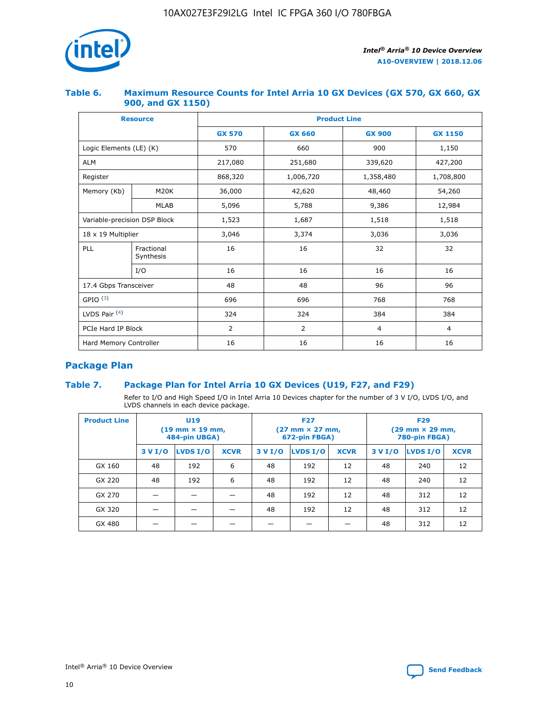

#### **Table 6. Maximum Resource Counts for Intel Arria 10 GX Devices (GX 570, GX 660, GX 900, and GX 1150)**

| <b>Resource</b>              |                         | <b>Product Line</b> |                |                |                |  |  |  |  |
|------------------------------|-------------------------|---------------------|----------------|----------------|----------------|--|--|--|--|
|                              |                         | <b>GX 570</b>       | <b>GX 660</b>  | <b>GX 900</b>  | <b>GX 1150</b> |  |  |  |  |
| Logic Elements (LE) (K)      |                         | 570                 | 660            | 900            | 1,150          |  |  |  |  |
| <b>ALM</b>                   |                         | 217,080             | 251,680        | 339,620        | 427,200        |  |  |  |  |
| Register                     |                         | 868,320             | 1,006,720      | 1,358,480      | 1,708,800      |  |  |  |  |
| Memory (Kb)                  | <b>M20K</b>             | 36,000              | 42,620         | 48,460         | 54,260         |  |  |  |  |
|                              | <b>MLAB</b>             | 5,096               | 5,788          | 9,386          | 12,984         |  |  |  |  |
| Variable-precision DSP Block |                         | 1,523               | 1,687          | 1,518          | 1,518          |  |  |  |  |
| $18 \times 19$ Multiplier    |                         | 3,046               | 3,374          | 3,036          | 3,036          |  |  |  |  |
| PLL                          | Fractional<br>Synthesis | 16                  | 16             | 32             | 32             |  |  |  |  |
|                              | I/O                     | 16                  | 16             | 16             | 16             |  |  |  |  |
| 17.4 Gbps Transceiver        |                         | 48                  | 48             | 96             | 96             |  |  |  |  |
| GPIO <sup>(3)</sup>          |                         | 696                 | 696            | 768            | 768            |  |  |  |  |
| LVDS Pair $(4)$              |                         | 324                 | 324            | 384            | 384            |  |  |  |  |
| PCIe Hard IP Block           |                         | $\overline{2}$      | $\overline{2}$ | $\overline{4}$ | $\overline{4}$ |  |  |  |  |
| Hard Memory Controller       |                         | 16                  | 16             | 16             | 16             |  |  |  |  |

## **Package Plan**

#### **Table 7. Package Plan for Intel Arria 10 GX Devices (U19, F27, and F29)**

Refer to I/O and High Speed I/O in Intel Arria 10 Devices chapter for the number of 3 V I/O, LVDS I/O, and LVDS channels in each device package.

| <b>Product Line</b> | U <sub>19</sub><br>$(19 \text{ mm} \times 19 \text{ mm})$<br>484-pin UBGA) |          |             |         | <b>F27</b><br>(27 mm × 27 mm,<br>672-pin FBGA) |             | <b>F29</b><br>(29 mm × 29 mm,<br>780-pin FBGA) |          |             |  |
|---------------------|----------------------------------------------------------------------------|----------|-------------|---------|------------------------------------------------|-------------|------------------------------------------------|----------|-------------|--|
|                     | 3 V I/O                                                                    | LVDS I/O | <b>XCVR</b> | 3 V I/O | <b>LVDS I/O</b>                                | <b>XCVR</b> | 3 V I/O                                        | LVDS I/O | <b>XCVR</b> |  |
| GX 160              | 48                                                                         | 192      | 6           | 48      | 192                                            | 12          | 48                                             | 240      | 12          |  |
| GX 220              | 48                                                                         | 192      | 6           | 48      | 192                                            | 12          | 48                                             | 240      | 12          |  |
| GX 270              |                                                                            |          |             | 48      | 192                                            | 12          | 48                                             | 312      | 12          |  |
| GX 320              |                                                                            |          |             | 48      | 192                                            | 12          | 48                                             | 312      | 12          |  |
| GX 480              |                                                                            |          |             |         |                                                |             | 48                                             | 312      | 12          |  |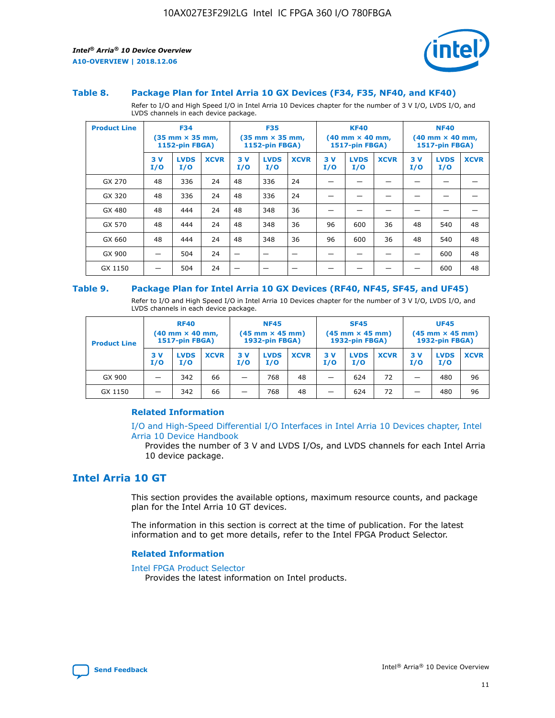

#### **Table 8. Package Plan for Intel Arria 10 GX Devices (F34, F35, NF40, and KF40)**

Refer to I/O and High Speed I/O in Intel Arria 10 Devices chapter for the number of 3 V I/O, LVDS I/O, and LVDS channels in each device package.

| <b>Product Line</b> | <b>F34</b><br>$(35 \text{ mm} \times 35 \text{ mm})$<br>1152-pin FBGA) |                    | <b>F35</b><br>$(35$ mm $\times$ 35 mm,<br><b>1152-pin FBGA)</b> |           | <b>KF40</b><br>$(40$ mm $\times$ 40 mm,<br>1517-pin FBGA) |             |           | <b>NF40</b><br>$(40$ mm $\times$ 40 mm,<br><b>1517-pin FBGA)</b> |             |            |                    |             |
|---------------------|------------------------------------------------------------------------|--------------------|-----------------------------------------------------------------|-----------|-----------------------------------------------------------|-------------|-----------|------------------------------------------------------------------|-------------|------------|--------------------|-------------|
|                     | 3V<br>I/O                                                              | <b>LVDS</b><br>I/O | <b>XCVR</b>                                                     | 3V<br>I/O | <b>LVDS</b><br>I/O                                        | <b>XCVR</b> | 3V<br>I/O | <b>LVDS</b><br>I/O                                               | <b>XCVR</b> | 3 V<br>I/O | <b>LVDS</b><br>I/O | <b>XCVR</b> |
| GX 270              | 48                                                                     | 336                | 24                                                              | 48        | 336                                                       | 24          |           |                                                                  |             |            |                    |             |
| GX 320              | 48                                                                     | 336                | 24                                                              | 48        | 336                                                       | 24          |           |                                                                  |             |            |                    |             |
| GX 480              | 48                                                                     | 444                | 24                                                              | 48        | 348                                                       | 36          |           |                                                                  |             |            |                    |             |
| GX 570              | 48                                                                     | 444                | 24                                                              | 48        | 348                                                       | 36          | 96        | 600                                                              | 36          | 48         | 540                | 48          |
| GX 660              | 48                                                                     | 444                | 24                                                              | 48        | 348                                                       | 36          | 96        | 600                                                              | 36          | 48         | 540                | 48          |
| GX 900              |                                                                        | 504                | 24                                                              | —         |                                                           | -           |           |                                                                  |             |            | 600                | 48          |
| GX 1150             |                                                                        | 504                | 24                                                              |           |                                                           |             |           |                                                                  |             |            | 600                | 48          |

#### **Table 9. Package Plan for Intel Arria 10 GX Devices (RF40, NF45, SF45, and UF45)**

Refer to I/O and High Speed I/O in Intel Arria 10 Devices chapter for the number of 3 V I/O, LVDS I/O, and LVDS channels in each device package.

| <b>Product Line</b> | <b>RF40</b><br>$(40$ mm $\times$ 40 mm,<br>1517-pin FBGA) |                    |             | <b>NF45</b><br>$(45 \text{ mm} \times 45 \text{ mm})$<br><b>1932-pin FBGA)</b> |                    |             | <b>SF45</b><br>$(45 \text{ mm} \times 45 \text{ mm})$<br><b>1932-pin FBGA)</b> |                    |             | <b>UF45</b><br>$(45 \text{ mm} \times 45 \text{ mm})$<br><b>1932-pin FBGA)</b> |                    |             |
|---------------------|-----------------------------------------------------------|--------------------|-------------|--------------------------------------------------------------------------------|--------------------|-------------|--------------------------------------------------------------------------------|--------------------|-------------|--------------------------------------------------------------------------------|--------------------|-------------|
|                     | 3V<br>I/O                                                 | <b>LVDS</b><br>I/O | <b>XCVR</b> | 3 V<br>I/O                                                                     | <b>LVDS</b><br>I/O | <b>XCVR</b> | 3 V<br>I/O                                                                     | <b>LVDS</b><br>I/O | <b>XCVR</b> | 3V<br>I/O                                                                      | <b>LVDS</b><br>I/O | <b>XCVR</b> |
| GX 900              |                                                           | 342                | 66          | _                                                                              | 768                | 48          |                                                                                | 624                | 72          |                                                                                | 480                | 96          |
| GX 1150             |                                                           | 342                | 66          | _                                                                              | 768                | 48          |                                                                                | 624                | 72          |                                                                                | 480                | 96          |

#### **Related Information**

[I/O and High-Speed Differential I/O Interfaces in Intel Arria 10 Devices chapter, Intel](https://www.intel.com/content/www/us/en/programmable/documentation/sam1403482614086.html#sam1403482030321) [Arria 10 Device Handbook](https://www.intel.com/content/www/us/en/programmable/documentation/sam1403482614086.html#sam1403482030321)

Provides the number of 3 V and LVDS I/Os, and LVDS channels for each Intel Arria 10 device package.

## **Intel Arria 10 GT**

This section provides the available options, maximum resource counts, and package plan for the Intel Arria 10 GT devices.

The information in this section is correct at the time of publication. For the latest information and to get more details, refer to the Intel FPGA Product Selector.

#### **Related Information**

#### [Intel FPGA Product Selector](http://www.altera.com/products/selector/psg-selector.html)

Provides the latest information on Intel products.

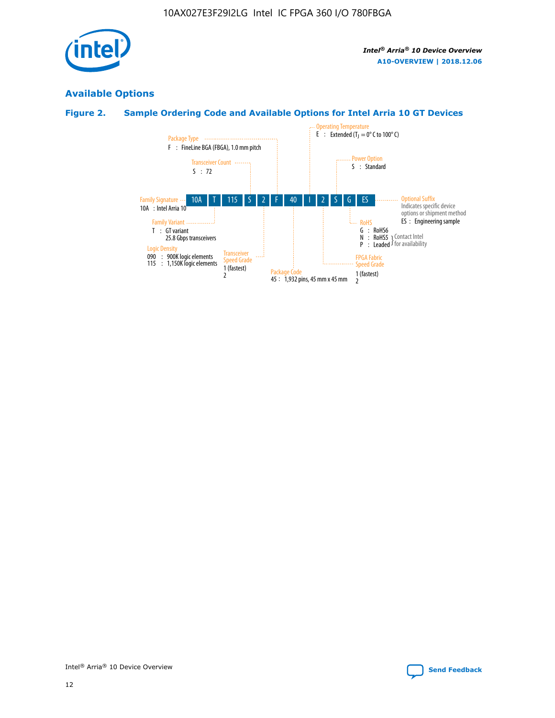

## **Available Options**

## **Figure 2. Sample Ordering Code and Available Options for Intel Arria 10 GT Devices**

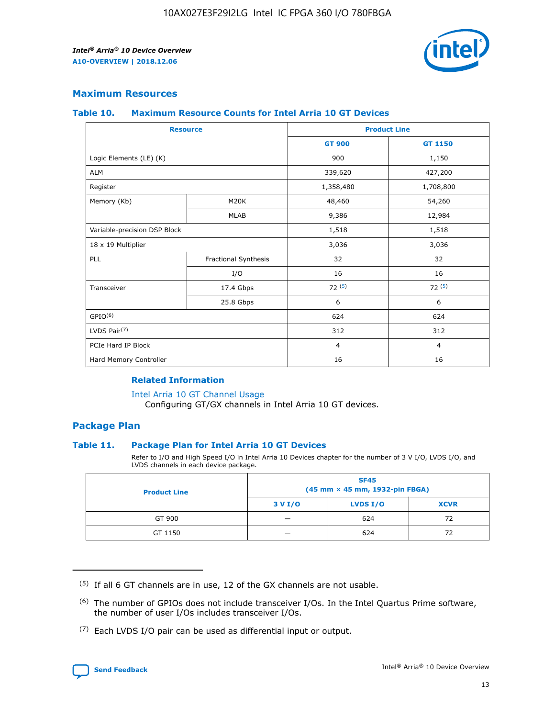

#### **Maximum Resources**

#### **Table 10. Maximum Resource Counts for Intel Arria 10 GT Devices**

| <b>Resource</b>              |                      | <b>Product Line</b> |                |  |
|------------------------------|----------------------|---------------------|----------------|--|
|                              |                      | <b>GT 900</b>       | <b>GT 1150</b> |  |
| Logic Elements (LE) (K)      |                      | 900                 | 1,150          |  |
| <b>ALM</b>                   |                      | 339,620             | 427,200        |  |
| Register                     |                      | 1,358,480           | 1,708,800      |  |
| Memory (Kb)                  | M20K                 | 48,460              | 54,260         |  |
|                              | <b>MLAB</b>          | 9,386               | 12,984         |  |
| Variable-precision DSP Block |                      | 1,518               | 1,518          |  |
| 18 x 19 Multiplier           |                      | 3,036               | 3,036          |  |
| PLL                          | Fractional Synthesis | 32                  | 32             |  |
|                              | I/O                  | 16                  | 16             |  |
| Transceiver                  | 17.4 Gbps            | 72(5)               | 72(5)          |  |
|                              | 25.8 Gbps            | 6                   | 6              |  |
| GPIO <sup>(6)</sup>          |                      | 624                 | 624            |  |
| LVDS Pair $(7)$              |                      | 312                 | 312            |  |
| PCIe Hard IP Block           |                      | $\overline{4}$      | $\overline{4}$ |  |
| Hard Memory Controller       |                      | 16                  | 16             |  |

#### **Related Information**

#### [Intel Arria 10 GT Channel Usage](https://www.intel.com/content/www/us/en/programmable/documentation/nik1398707230472.html#nik1398707008178)

Configuring GT/GX channels in Intel Arria 10 GT devices.

#### **Package Plan**

#### **Table 11. Package Plan for Intel Arria 10 GT Devices**

Refer to I/O and High Speed I/O in Intel Arria 10 Devices chapter for the number of 3 V I/O, LVDS I/O, and LVDS channels in each device package.

| <b>Product Line</b> | <b>SF45</b><br>(45 mm × 45 mm, 1932-pin FBGA) |                 |             |  |  |  |
|---------------------|-----------------------------------------------|-----------------|-------------|--|--|--|
|                     | 3 V I/O                                       | <b>LVDS I/O</b> | <b>XCVR</b> |  |  |  |
| GT 900              |                                               | 624             | 72          |  |  |  |
| GT 1150             |                                               | 624             | 72          |  |  |  |

<sup>(7)</sup> Each LVDS I/O pair can be used as differential input or output.



 $(5)$  If all 6 GT channels are in use, 12 of the GX channels are not usable.

<sup>(6)</sup> The number of GPIOs does not include transceiver I/Os. In the Intel Quartus Prime software, the number of user I/Os includes transceiver I/Os.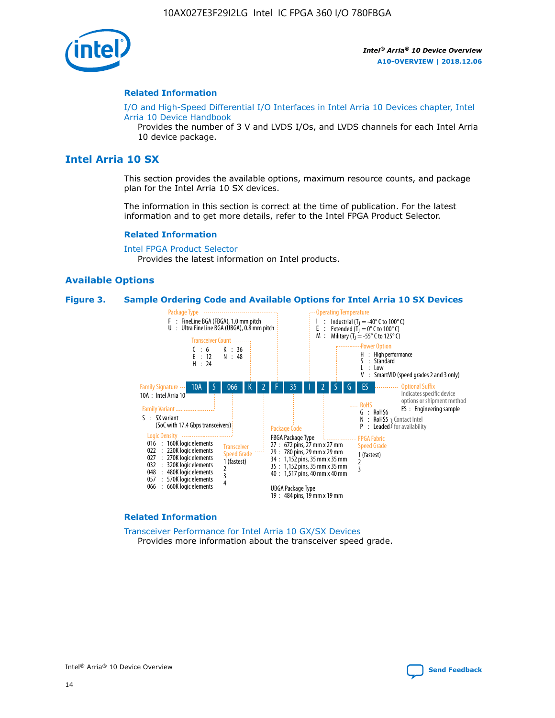

#### **Related Information**

[I/O and High-Speed Differential I/O Interfaces in Intel Arria 10 Devices chapter, Intel](https://www.intel.com/content/www/us/en/programmable/documentation/sam1403482614086.html#sam1403482030321) [Arria 10 Device Handbook](https://www.intel.com/content/www/us/en/programmable/documentation/sam1403482614086.html#sam1403482030321)

Provides the number of 3 V and LVDS I/Os, and LVDS channels for each Intel Arria 10 device package.

## **Intel Arria 10 SX**

This section provides the available options, maximum resource counts, and package plan for the Intel Arria 10 SX devices.

The information in this section is correct at the time of publication. For the latest information and to get more details, refer to the Intel FPGA Product Selector.

#### **Related Information**

[Intel FPGA Product Selector](http://www.altera.com/products/selector/psg-selector.html) Provides the latest information on Intel products.

#### **Available Options**

#### **Figure 3. Sample Ordering Code and Available Options for Intel Arria 10 SX Devices**



#### **Related Information**

[Transceiver Performance for Intel Arria 10 GX/SX Devices](https://www.intel.com/content/www/us/en/programmable/documentation/mcn1413182292568.html#mcn1413213965502) Provides more information about the transceiver speed grade.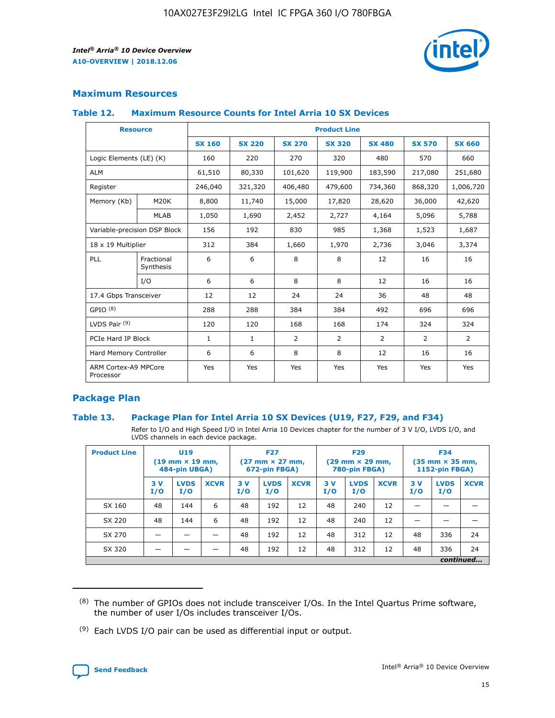

#### **Maximum Resources**

#### **Table 12. Maximum Resource Counts for Intel Arria 10 SX Devices**

| <b>Resource</b>                   |                         | <b>Product Line</b> |               |                |                |                |                |                |  |  |  |
|-----------------------------------|-------------------------|---------------------|---------------|----------------|----------------|----------------|----------------|----------------|--|--|--|
|                                   |                         | <b>SX 160</b>       | <b>SX 220</b> | <b>SX 270</b>  | <b>SX 320</b>  | <b>SX 480</b>  | <b>SX 570</b>  | <b>SX 660</b>  |  |  |  |
| Logic Elements (LE) (K)           |                         | 160                 | 220           | 270            | 320            | 480            | 570            | 660            |  |  |  |
| <b>ALM</b>                        |                         | 61,510              | 80,330        | 101,620        | 119,900        | 183,590        | 217,080        | 251,680        |  |  |  |
| Register                          |                         | 246,040             | 321,320       | 406,480        | 479,600        | 734,360        | 868,320        | 1,006,720      |  |  |  |
| Memory (Kb)                       | <b>M20K</b>             | 8,800               | 11,740        | 15,000         | 17,820         | 28,620         | 36,000         | 42,620         |  |  |  |
|                                   | <b>MLAB</b>             | 1,050               | 1,690         | 2,452          | 2,727          | 4,164          | 5,096          | 5,788          |  |  |  |
| Variable-precision DSP Block      |                         | 156                 | 192           | 830            | 985            | 1,368          | 1,523          | 1,687          |  |  |  |
| 18 x 19 Multiplier                |                         | 312                 | 384           | 1,660          | 1,970          | 2,736          | 3,046          | 3,374          |  |  |  |
| PLL                               | Fractional<br>Synthesis | 6                   | 6             | 8              | 8              | 12             | 16             | 16             |  |  |  |
|                                   | I/O                     | 6                   | 6             | 8              | 8              | 12             | 16             | 16             |  |  |  |
| 17.4 Gbps Transceiver             |                         | 12                  | 12            | 24             | 24             | 36             | 48             | 48             |  |  |  |
| GPIO <sup>(8)</sup>               |                         | 288                 | 288           | 384            | 384            | 492            | 696            | 696            |  |  |  |
| LVDS Pair $(9)$                   |                         | 120                 | 120           | 168            | 168            | 174            | 324            | 324            |  |  |  |
| PCIe Hard IP Block                |                         | $\mathbf{1}$        | $\mathbf{1}$  | $\overline{2}$ | $\overline{2}$ | $\overline{2}$ | $\overline{2}$ | $\overline{2}$ |  |  |  |
| Hard Memory Controller            |                         | 6                   | 6             | 8              | 8              | 12             | 16             | 16             |  |  |  |
| ARM Cortex-A9 MPCore<br>Processor |                         | Yes                 | Yes           | Yes            | Yes            | Yes            | Yes            | <b>Yes</b>     |  |  |  |

#### **Package Plan**

#### **Table 13. Package Plan for Intel Arria 10 SX Devices (U19, F27, F29, and F34)**

Refer to I/O and High Speed I/O in Intel Arria 10 Devices chapter for the number of 3 V I/O, LVDS I/O, and LVDS channels in each device package.

| <b>Product Line</b> | U <sub>19</sub><br>$(19 \text{ mm} \times 19 \text{ mm})$<br>484-pin UBGA) |                    | <b>F27</b><br>$(27 \text{ mm} \times 27 \text{ mm})$<br>672-pin FBGA) |           | <b>F29</b><br>$(29 \text{ mm} \times 29 \text{ mm})$<br>780-pin FBGA) |             |            | <b>F34</b><br>$(35 \text{ mm} \times 35 \text{ mm})$<br><b>1152-pin FBGA)</b> |             |           |                    |             |
|---------------------|----------------------------------------------------------------------------|--------------------|-----------------------------------------------------------------------|-----------|-----------------------------------------------------------------------|-------------|------------|-------------------------------------------------------------------------------|-------------|-----------|--------------------|-------------|
|                     | 3V<br>I/O                                                                  | <b>LVDS</b><br>I/O | <b>XCVR</b>                                                           | 3V<br>I/O | <b>LVDS</b><br>I/O                                                    | <b>XCVR</b> | 3 V<br>I/O | <b>LVDS</b><br>I/O                                                            | <b>XCVR</b> | 3V<br>I/O | <b>LVDS</b><br>I/O | <b>XCVR</b> |
| SX 160              | 48                                                                         | 144                | 6                                                                     | 48        | 192                                                                   | 12          | 48         | 240                                                                           | 12          | –         |                    |             |
| SX 220              | 48                                                                         | 144                | 6                                                                     | 48        | 192                                                                   | 12          | 48         | 240                                                                           | 12          |           |                    |             |
| SX 270              |                                                                            |                    |                                                                       | 48        | 192                                                                   | 12          | 48         | 312                                                                           | 12          | 48        | 336                | 24          |
| SX 320              |                                                                            |                    |                                                                       | 48        | 192                                                                   | 12          | 48         | 312                                                                           | 12          | 48        | 336                | 24          |
|                     | continued                                                                  |                    |                                                                       |           |                                                                       |             |            |                                                                               |             |           |                    |             |

 $(8)$  The number of GPIOs does not include transceiver I/Os. In the Intel Quartus Prime software, the number of user I/Os includes transceiver I/Os.

 $(9)$  Each LVDS I/O pair can be used as differential input or output.

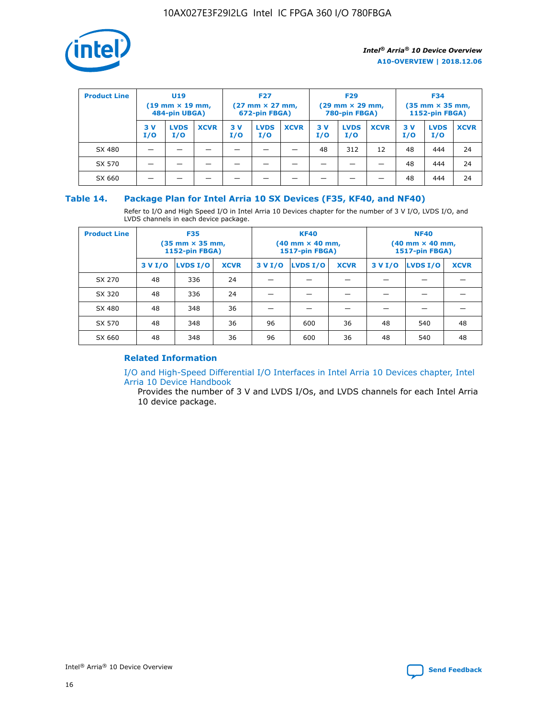

| <b>Product Line</b> | U <sub>19</sub><br>$(19 \text{ mm} \times 19 \text{ mm})$<br>484-pin UBGA) |                    | <b>F27</b><br>$(27 \text{ mm} \times 27 \text{ mm})$<br>672-pin FBGA) |           | <b>F29</b><br>$(29 \text{ mm} \times 29 \text{ mm})$<br>780-pin FBGA) |             |           | <b>F34</b><br>$(35$ mm $\times$ 35 mm,<br><b>1152-pin FBGA)</b> |             |           |                    |             |
|---------------------|----------------------------------------------------------------------------|--------------------|-----------------------------------------------------------------------|-----------|-----------------------------------------------------------------------|-------------|-----------|-----------------------------------------------------------------|-------------|-----------|--------------------|-------------|
|                     | 3V<br>I/O                                                                  | <b>LVDS</b><br>I/O | <b>XCVR</b>                                                           | 3V<br>I/O | <b>LVDS</b><br>I/O                                                    | <b>XCVR</b> | 3V<br>I/O | <b>LVDS</b><br>I/O                                              | <b>XCVR</b> | 3V<br>I/O | <b>LVDS</b><br>I/O | <b>XCVR</b> |
| SX 480              |                                                                            |                    |                                                                       |           |                                                                       |             | 48        | 312                                                             | 12          | 48        | 444                | 24          |
| SX 570              |                                                                            |                    |                                                                       |           |                                                                       |             |           |                                                                 |             | 48        | 444                | 24          |
| SX 660              |                                                                            |                    |                                                                       |           |                                                                       |             |           |                                                                 |             | 48        | 444                | 24          |

#### **Table 14. Package Plan for Intel Arria 10 SX Devices (F35, KF40, and NF40)**

Refer to I/O and High Speed I/O in Intel Arria 10 Devices chapter for the number of 3 V I/O, LVDS I/O, and LVDS channels in each device package.

| <b>Product Line</b> | <b>F35</b><br>$(35 \text{ mm} \times 35 \text{ mm})$<br><b>1152-pin FBGA)</b> |          |             |                                           | <b>KF40</b><br>(40 mm × 40 mm,<br>1517-pin FBGA) |    | <b>NF40</b><br>$(40 \text{ mm} \times 40 \text{ mm})$<br>1517-pin FBGA) |          |             |  |
|---------------------|-------------------------------------------------------------------------------|----------|-------------|-------------------------------------------|--------------------------------------------------|----|-------------------------------------------------------------------------|----------|-------------|--|
|                     | 3 V I/O                                                                       | LVDS I/O | <b>XCVR</b> | <b>LVDS I/O</b><br><b>XCVR</b><br>3 V I/O |                                                  |    | 3 V I/O                                                                 | LVDS I/O | <b>XCVR</b> |  |
| SX 270              | 48                                                                            | 336      | 24          |                                           |                                                  |    |                                                                         |          |             |  |
| SX 320              | 48                                                                            | 336      | 24          |                                           |                                                  |    |                                                                         |          |             |  |
| SX 480              | 48                                                                            | 348      | 36          |                                           |                                                  |    |                                                                         |          |             |  |
| SX 570              | 48                                                                            | 348      | 36          | 96                                        | 600                                              | 36 | 48                                                                      | 540      | 48          |  |
| SX 660              | 48                                                                            | 348      | 36          | 96                                        | 600                                              | 36 | 48                                                                      | 540      | 48          |  |

## **Related Information**

[I/O and High-Speed Differential I/O Interfaces in Intel Arria 10 Devices chapter, Intel](https://www.intel.com/content/www/us/en/programmable/documentation/sam1403482614086.html#sam1403482030321) [Arria 10 Device Handbook](https://www.intel.com/content/www/us/en/programmable/documentation/sam1403482614086.html#sam1403482030321)

Provides the number of 3 V and LVDS I/Os, and LVDS channels for each Intel Arria 10 device package.

Intel<sup>®</sup> Arria<sup>®</sup> 10 Device Overview **[Send Feedback](mailto:FPGAtechdocfeedback@intel.com?subject=Feedback%20on%20Intel%20Arria%2010%20Device%20Overview%20(A10-OVERVIEW%202018.12.06)&body=We%20appreciate%20your%20feedback.%20In%20your%20comments,%20also%20specify%20the%20page%20number%20or%20paragraph.%20Thank%20you.)** Send Feedback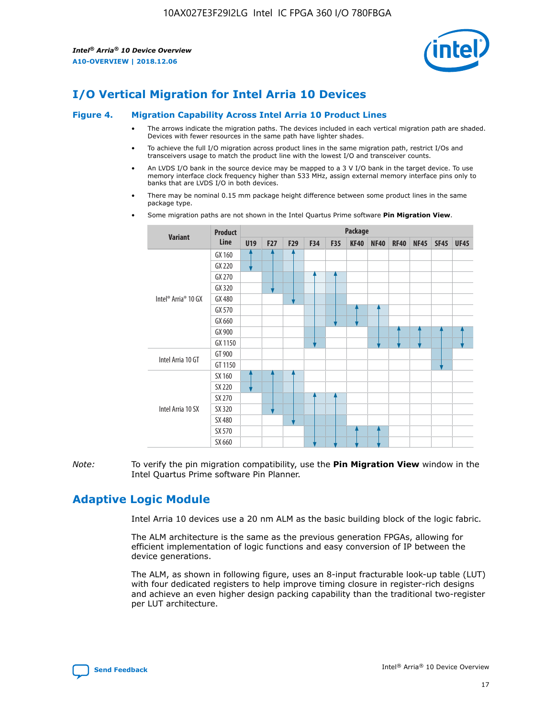

## **I/O Vertical Migration for Intel Arria 10 Devices**

#### **Figure 4. Migration Capability Across Intel Arria 10 Product Lines**

- The arrows indicate the migration paths. The devices included in each vertical migration path are shaded. Devices with fewer resources in the same path have lighter shades.
- To achieve the full I/O migration across product lines in the same migration path, restrict I/Os and transceivers usage to match the product line with the lowest I/O and transceiver counts.
- An LVDS I/O bank in the source device may be mapped to a 3 V I/O bank in the target device. To use memory interface clock frequency higher than 533 MHz, assign external memory interface pins only to banks that are LVDS I/O in both devices.
- There may be nominal 0.15 mm package height difference between some product lines in the same package type.
	- **Variant Product Line Package U19 F27 F29 F34 F35 KF40 NF40 RF40 NF45 SF45 UF45** Intel® Arria® 10 GX GX 160 GX 220 GX 270 GX 320 GX 480 GX 570 GX 660 GX 900 GX 1150 Intel Arria 10 GT GT 900 GT 1150 Intel Arria 10 SX SX 160 SX 220 SX 270 SX 320 SX 480 SX 570 SX 660
- Some migration paths are not shown in the Intel Quartus Prime software **Pin Migration View**.

*Note:* To verify the pin migration compatibility, use the **Pin Migration View** window in the Intel Quartus Prime software Pin Planner.

## **Adaptive Logic Module**

Intel Arria 10 devices use a 20 nm ALM as the basic building block of the logic fabric.

The ALM architecture is the same as the previous generation FPGAs, allowing for efficient implementation of logic functions and easy conversion of IP between the device generations.

The ALM, as shown in following figure, uses an 8-input fracturable look-up table (LUT) with four dedicated registers to help improve timing closure in register-rich designs and achieve an even higher design packing capability than the traditional two-register per LUT architecture.

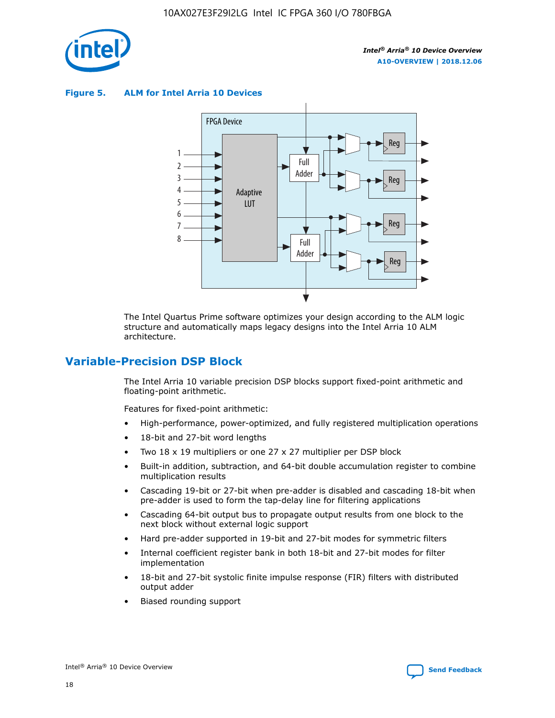

**Figure 5. ALM for Intel Arria 10 Devices**



The Intel Quartus Prime software optimizes your design according to the ALM logic structure and automatically maps legacy designs into the Intel Arria 10 ALM architecture.

## **Variable-Precision DSP Block**

The Intel Arria 10 variable precision DSP blocks support fixed-point arithmetic and floating-point arithmetic.

Features for fixed-point arithmetic:

- High-performance, power-optimized, and fully registered multiplication operations
- 18-bit and 27-bit word lengths
- Two 18 x 19 multipliers or one 27 x 27 multiplier per DSP block
- Built-in addition, subtraction, and 64-bit double accumulation register to combine multiplication results
- Cascading 19-bit or 27-bit when pre-adder is disabled and cascading 18-bit when pre-adder is used to form the tap-delay line for filtering applications
- Cascading 64-bit output bus to propagate output results from one block to the next block without external logic support
- Hard pre-adder supported in 19-bit and 27-bit modes for symmetric filters
- Internal coefficient register bank in both 18-bit and 27-bit modes for filter implementation
- 18-bit and 27-bit systolic finite impulse response (FIR) filters with distributed output adder
- Biased rounding support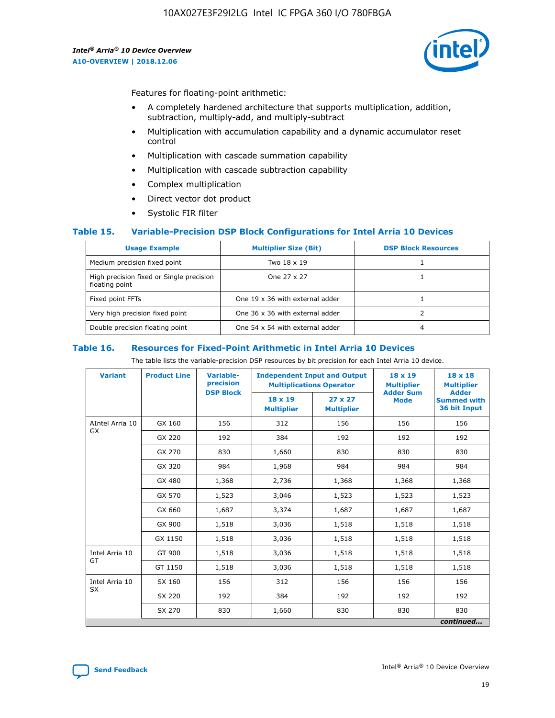

Features for floating-point arithmetic:

- A completely hardened architecture that supports multiplication, addition, subtraction, multiply-add, and multiply-subtract
- Multiplication with accumulation capability and a dynamic accumulator reset control
- Multiplication with cascade summation capability
- Multiplication with cascade subtraction capability
- Complex multiplication
- Direct vector dot product
- Systolic FIR filter

#### **Table 15. Variable-Precision DSP Block Configurations for Intel Arria 10 Devices**

| <b>Usage Example</b>                                       | <b>Multiplier Size (Bit)</b>    | <b>DSP Block Resources</b> |
|------------------------------------------------------------|---------------------------------|----------------------------|
| Medium precision fixed point                               | Two 18 x 19                     |                            |
| High precision fixed or Single precision<br>floating point | One 27 x 27                     |                            |
| Fixed point FFTs                                           | One 19 x 36 with external adder |                            |
| Very high precision fixed point                            | One 36 x 36 with external adder |                            |
| Double precision floating point                            | One 54 x 54 with external adder | 4                          |

#### **Table 16. Resources for Fixed-Point Arithmetic in Intel Arria 10 Devices**

The table lists the variable-precision DSP resources by bit precision for each Intel Arria 10 device.

| <b>Variant</b>        | <b>Product Line</b> | <b>Variable-</b><br>precision<br><b>DSP Block</b> | <b>Independent Input and Output</b><br><b>Multiplications Operator</b> |                                     | 18 x 19<br><b>Multiplier</b><br><b>Adder Sum</b> | $18 \times 18$<br><b>Multiplier</b><br><b>Adder</b> |
|-----------------------|---------------------|---------------------------------------------------|------------------------------------------------------------------------|-------------------------------------|--------------------------------------------------|-----------------------------------------------------|
|                       |                     |                                                   | 18 x 19<br><b>Multiplier</b>                                           | $27 \times 27$<br><b>Multiplier</b> | <b>Mode</b>                                      | <b>Summed with</b><br>36 bit Input                  |
| AIntel Arria 10<br>GX | GX 160              | 156                                               | 312                                                                    | 156                                 | 156                                              | 156                                                 |
|                       | GX 220              | 192                                               | 384                                                                    | 192                                 | 192                                              | 192                                                 |
|                       | GX 270              | 830                                               | 1,660                                                                  | 830                                 | 830                                              | 830                                                 |
|                       | GX 320              | 984                                               | 1,968                                                                  | 984                                 | 984                                              | 984                                                 |
|                       | GX 480              | 1,368                                             | 2,736                                                                  | 1,368                               | 1,368                                            | 1,368                                               |
|                       | GX 570              | 1,523                                             | 3,046                                                                  | 1,523                               | 1,523                                            | 1,523                                               |
|                       | GX 660              | 1,687                                             | 3,374                                                                  | 1,687                               | 1,687                                            | 1,687                                               |
|                       | GX 900              | 1,518                                             | 3,036                                                                  | 1,518                               | 1,518                                            | 1,518                                               |
|                       | GX 1150             | 1,518                                             | 3,036                                                                  | 1,518                               | 1,518                                            | 1,518                                               |
| Intel Arria 10        | GT 900              | 1,518                                             | 3,036                                                                  | 1,518                               | 1,518                                            | 1,518                                               |
| GT                    | GT 1150             | 1,518                                             | 3,036                                                                  | 1,518                               | 1,518                                            | 1,518                                               |
| Intel Arria 10        | SX 160              | 156                                               | 312                                                                    | 156                                 | 156                                              | 156                                                 |
| <b>SX</b>             | SX 220              | 192                                               | 384                                                                    | 192                                 | 192                                              | 192                                                 |
|                       | SX 270              | 830                                               | 1,660                                                                  | 830                                 | 830                                              | 830                                                 |
|                       |                     |                                                   |                                                                        |                                     |                                                  | continued                                           |

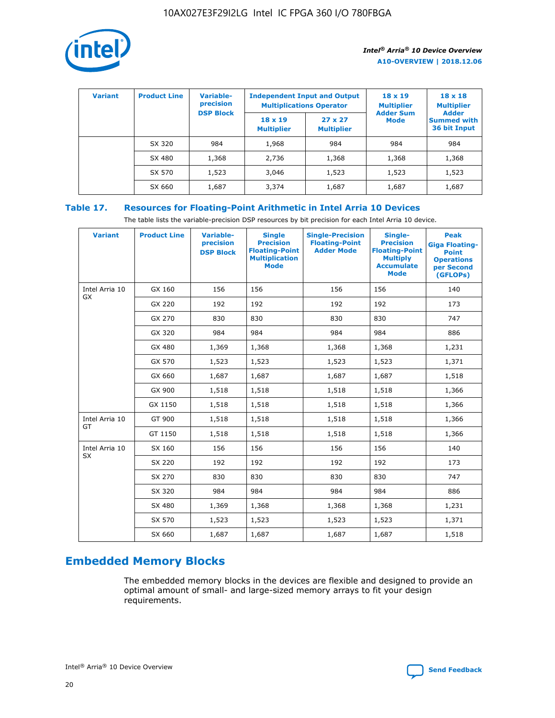

| <b>Variant</b> | <b>Product Line</b> | Variable-<br>precision | <b>Independent Input and Output</b><br><b>Multiplications Operator</b> |                                     | $18 \times 19$<br><b>Multiplier</b> | $18 \times 18$<br><b>Multiplier</b><br><b>Adder</b> |  |
|----------------|---------------------|------------------------|------------------------------------------------------------------------|-------------------------------------|-------------------------------------|-----------------------------------------------------|--|
|                |                     | <b>DSP Block</b>       | $18 \times 19$<br><b>Multiplier</b>                                    | $27 \times 27$<br><b>Multiplier</b> | <b>Adder Sum</b><br><b>Mode</b>     | <b>Summed with</b><br>36 bit Input                  |  |
|                | SX 320              | 984                    | 1,968                                                                  | 984                                 | 984                                 | 984                                                 |  |
|                | SX 480              | 1,368                  | 2,736                                                                  | 1,368                               | 1,368                               | 1,368                                               |  |
|                | SX 570              | 1,523                  | 3,046                                                                  | 1,523                               | 1,523                               | 1,523                                               |  |
|                | SX 660              | 1,687                  | 3,374                                                                  | 1,687                               | 1,687                               | 1,687                                               |  |

## **Table 17. Resources for Floating-Point Arithmetic in Intel Arria 10 Devices**

The table lists the variable-precision DSP resources by bit precision for each Intel Arria 10 device.

| <b>Variant</b> | <b>Product Line</b> | <b>Variable-</b><br>precision<br><b>DSP Block</b> | <b>Single</b><br><b>Precision</b><br><b>Floating-Point</b><br><b>Multiplication</b><br><b>Mode</b> | <b>Single-Precision</b><br><b>Floating-Point</b><br><b>Adder Mode</b> | Single-<br><b>Precision</b><br><b>Floating-Point</b><br><b>Multiply</b><br><b>Accumulate</b><br><b>Mode</b> | <b>Peak</b><br><b>Giga Floating-</b><br><b>Point</b><br><b>Operations</b><br>per Second<br>(GFLOPs) |
|----------------|---------------------|---------------------------------------------------|----------------------------------------------------------------------------------------------------|-----------------------------------------------------------------------|-------------------------------------------------------------------------------------------------------------|-----------------------------------------------------------------------------------------------------|
| Intel Arria 10 | GX 160              | 156                                               | 156                                                                                                | 156                                                                   | 156                                                                                                         | 140                                                                                                 |
| GX             | GX 220              | 192                                               | 192                                                                                                | 192                                                                   | 192                                                                                                         | 173                                                                                                 |
|                | GX 270              | 830                                               | 830                                                                                                | 830                                                                   | 830                                                                                                         | 747                                                                                                 |
|                | GX 320              | 984                                               | 984                                                                                                | 984                                                                   | 984                                                                                                         | 886                                                                                                 |
|                | GX 480              | 1,369                                             | 1,368                                                                                              | 1,368                                                                 | 1,368                                                                                                       | 1,231                                                                                               |
|                | GX 570              | 1,523                                             | 1,523                                                                                              | 1,523                                                                 | 1,523                                                                                                       | 1,371                                                                                               |
|                | GX 660              | 1,687                                             | 1,687                                                                                              | 1,687                                                                 | 1,687                                                                                                       | 1,518                                                                                               |
|                | GX 900              | 1,518                                             | 1,518                                                                                              | 1,518                                                                 | 1,518                                                                                                       | 1,366                                                                                               |
|                | GX 1150             | 1,518                                             | 1,518                                                                                              | 1,518                                                                 | 1,518                                                                                                       | 1,366                                                                                               |
| Intel Arria 10 | GT 900              | 1,518                                             | 1,518                                                                                              | 1,518                                                                 | 1,518                                                                                                       | 1,366                                                                                               |
| GT             | GT 1150             | 1,518                                             | 1,518                                                                                              | 1,518                                                                 | 1,518                                                                                                       | 1,366                                                                                               |
| Intel Arria 10 | SX 160              | 156                                               | 156                                                                                                | 156                                                                   | 156                                                                                                         | 140                                                                                                 |
| <b>SX</b>      | SX 220              | 192                                               | 192                                                                                                | 192                                                                   | 192                                                                                                         | 173                                                                                                 |
|                | SX 270              | 830                                               | 830                                                                                                | 830                                                                   | 830                                                                                                         | 747                                                                                                 |
|                | SX 320              | 984                                               | 984                                                                                                | 984                                                                   | 984                                                                                                         | 886                                                                                                 |
|                | SX 480              | 1,369                                             | 1,368                                                                                              | 1,368                                                                 | 1,368                                                                                                       | 1,231                                                                                               |
|                | SX 570              | 1,523                                             | 1,523                                                                                              | 1,523                                                                 | 1,523                                                                                                       | 1,371                                                                                               |
|                | SX 660              | 1,687                                             | 1,687                                                                                              | 1,687                                                                 | 1,687                                                                                                       | 1,518                                                                                               |

## **Embedded Memory Blocks**

The embedded memory blocks in the devices are flexible and designed to provide an optimal amount of small- and large-sized memory arrays to fit your design requirements.

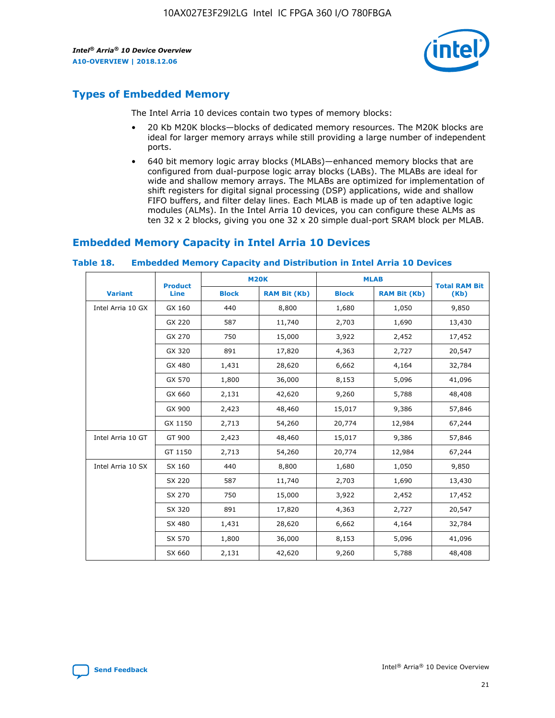

## **Types of Embedded Memory**

The Intel Arria 10 devices contain two types of memory blocks:

- 20 Kb M20K blocks—blocks of dedicated memory resources. The M20K blocks are ideal for larger memory arrays while still providing a large number of independent ports.
- 640 bit memory logic array blocks (MLABs)—enhanced memory blocks that are configured from dual-purpose logic array blocks (LABs). The MLABs are ideal for wide and shallow memory arrays. The MLABs are optimized for implementation of shift registers for digital signal processing (DSP) applications, wide and shallow FIFO buffers, and filter delay lines. Each MLAB is made up of ten adaptive logic modules (ALMs). In the Intel Arria 10 devices, you can configure these ALMs as ten 32 x 2 blocks, giving you one 32 x 20 simple dual-port SRAM block per MLAB.

## **Embedded Memory Capacity in Intel Arria 10 Devices**

|                   | <b>Product</b> |              | <b>M20K</b>         | <b>MLAB</b>  |                     | <b>Total RAM Bit</b> |
|-------------------|----------------|--------------|---------------------|--------------|---------------------|----------------------|
| <b>Variant</b>    | Line           | <b>Block</b> | <b>RAM Bit (Kb)</b> | <b>Block</b> | <b>RAM Bit (Kb)</b> | (Kb)                 |
| Intel Arria 10 GX | GX 160         | 440          | 8,800               | 1,680        | 1,050               | 9,850                |
|                   | GX 220         | 587          | 11,740              | 2,703        | 1,690               | 13,430               |
|                   | GX 270         | 750          | 15,000              | 3,922        | 2,452               | 17,452               |
|                   | GX 320         | 891          | 17,820              | 4,363        | 2,727               | 20,547               |
|                   | GX 480         | 1,431        | 28,620              | 6,662        | 4,164               | 32,784               |
|                   | GX 570         | 1,800        | 36,000              | 8,153        | 5,096               | 41,096               |
|                   | GX 660         | 2,131        | 42,620              | 9,260        | 5,788               | 48,408               |
|                   | GX 900         | 2,423        | 48,460              | 15,017       | 9,386               | 57,846               |
|                   | GX 1150        | 2,713        | 54,260              | 20,774       | 12,984              | 67,244               |
| Intel Arria 10 GT | GT 900         | 2,423        | 48,460              | 15,017       | 9,386               | 57,846               |
|                   | GT 1150        | 2,713        | 54,260              | 20,774       | 12,984              | 67,244               |
| Intel Arria 10 SX | SX 160         | 440          | 8,800               | 1,680        | 1,050               | 9,850                |
|                   | SX 220         | 587          | 11,740              | 2,703        | 1,690               | 13,430               |
|                   | SX 270         | 750          | 15,000              | 3,922        | 2,452               | 17,452               |
|                   | SX 320         | 891          | 17,820              | 4,363        | 2,727               | 20,547               |
|                   | SX 480         | 1,431        | 28,620              | 6,662        | 4,164               | 32,784               |
|                   | SX 570         | 1,800        | 36,000              | 8,153        | 5,096               | 41,096               |
|                   | SX 660         | 2,131        | 42,620              | 9,260        | 5,788               | 48,408               |

#### **Table 18. Embedded Memory Capacity and Distribution in Intel Arria 10 Devices**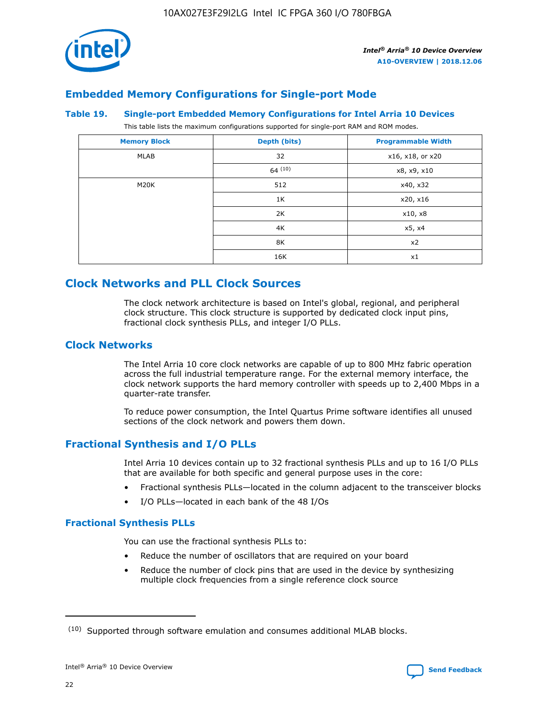

## **Embedded Memory Configurations for Single-port Mode**

#### **Table 19. Single-port Embedded Memory Configurations for Intel Arria 10 Devices**

This table lists the maximum configurations supported for single-port RAM and ROM modes.

| <b>Memory Block</b> | Depth (bits) | <b>Programmable Width</b> |
|---------------------|--------------|---------------------------|
| MLAB                | 32           | x16, x18, or x20          |
|                     | 64(10)       | x8, x9, x10               |
| M20K                | 512          | x40, x32                  |
|                     | 1K           | x20, x16                  |
|                     | 2K           | x10, x8                   |
|                     | 4K           | x5, x4                    |
|                     | 8K           | x2                        |
|                     | 16K          | x1                        |

## **Clock Networks and PLL Clock Sources**

The clock network architecture is based on Intel's global, regional, and peripheral clock structure. This clock structure is supported by dedicated clock input pins, fractional clock synthesis PLLs, and integer I/O PLLs.

#### **Clock Networks**

The Intel Arria 10 core clock networks are capable of up to 800 MHz fabric operation across the full industrial temperature range. For the external memory interface, the clock network supports the hard memory controller with speeds up to 2,400 Mbps in a quarter-rate transfer.

To reduce power consumption, the Intel Quartus Prime software identifies all unused sections of the clock network and powers them down.

#### **Fractional Synthesis and I/O PLLs**

Intel Arria 10 devices contain up to 32 fractional synthesis PLLs and up to 16 I/O PLLs that are available for both specific and general purpose uses in the core:

- Fractional synthesis PLLs—located in the column adjacent to the transceiver blocks
- I/O PLLs—located in each bank of the 48 I/Os

#### **Fractional Synthesis PLLs**

You can use the fractional synthesis PLLs to:

- Reduce the number of oscillators that are required on your board
- Reduce the number of clock pins that are used in the device by synthesizing multiple clock frequencies from a single reference clock source

<sup>(10)</sup> Supported through software emulation and consumes additional MLAB blocks.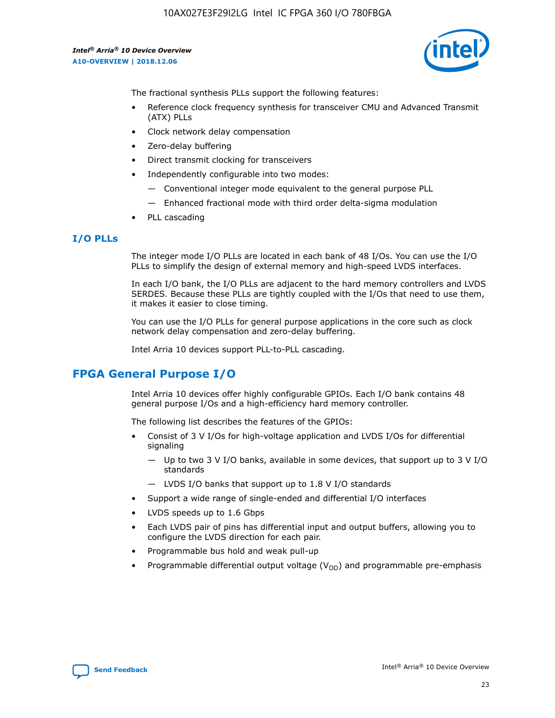10AX027E3F29I2LG Intel IC FPGA 360 I/O 780FBGA

*Intel® Arria® 10 Device Overview* **A10-OVERVIEW | 2018.12.06**



The fractional synthesis PLLs support the following features:

- Reference clock frequency synthesis for transceiver CMU and Advanced Transmit (ATX) PLLs
- Clock network delay compensation
- Zero-delay buffering
- Direct transmit clocking for transceivers
- Independently configurable into two modes:
	- Conventional integer mode equivalent to the general purpose PLL
	- Enhanced fractional mode with third order delta-sigma modulation
- PLL cascading

#### **I/O PLLs**

The integer mode I/O PLLs are located in each bank of 48 I/Os. You can use the I/O PLLs to simplify the design of external memory and high-speed LVDS interfaces.

In each I/O bank, the I/O PLLs are adjacent to the hard memory controllers and LVDS SERDES. Because these PLLs are tightly coupled with the I/Os that need to use them, it makes it easier to close timing.

You can use the I/O PLLs for general purpose applications in the core such as clock network delay compensation and zero-delay buffering.

Intel Arria 10 devices support PLL-to-PLL cascading.

## **FPGA General Purpose I/O**

Intel Arria 10 devices offer highly configurable GPIOs. Each I/O bank contains 48 general purpose I/Os and a high-efficiency hard memory controller.

The following list describes the features of the GPIOs:

- Consist of 3 V I/Os for high-voltage application and LVDS I/Os for differential signaling
	- Up to two 3 V I/O banks, available in some devices, that support up to 3 V I/O standards
	- LVDS I/O banks that support up to 1.8 V I/O standards
- Support a wide range of single-ended and differential I/O interfaces
- LVDS speeds up to 1.6 Gbps
- Each LVDS pair of pins has differential input and output buffers, allowing you to configure the LVDS direction for each pair.
- Programmable bus hold and weak pull-up
- Programmable differential output voltage  $(V_{OD})$  and programmable pre-emphasis

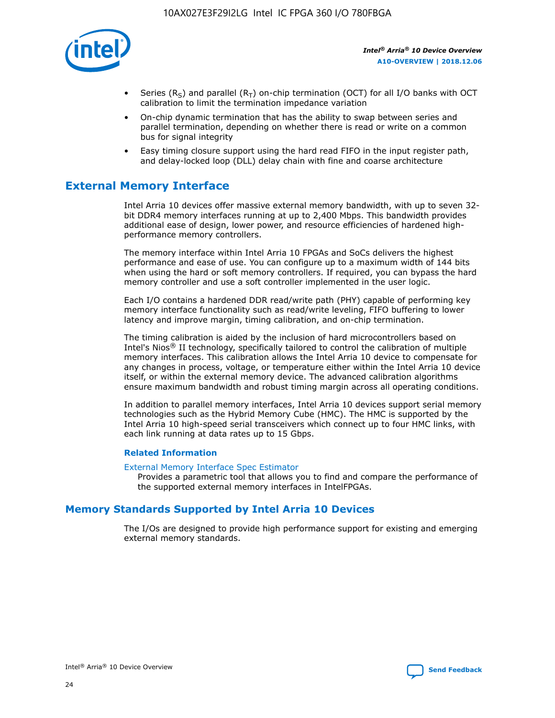

- Series (R<sub>S</sub>) and parallel (R<sub>T</sub>) on-chip termination (OCT) for all I/O banks with OCT calibration to limit the termination impedance variation
- On-chip dynamic termination that has the ability to swap between series and parallel termination, depending on whether there is read or write on a common bus for signal integrity
- Easy timing closure support using the hard read FIFO in the input register path, and delay-locked loop (DLL) delay chain with fine and coarse architecture

## **External Memory Interface**

Intel Arria 10 devices offer massive external memory bandwidth, with up to seven 32 bit DDR4 memory interfaces running at up to 2,400 Mbps. This bandwidth provides additional ease of design, lower power, and resource efficiencies of hardened highperformance memory controllers.

The memory interface within Intel Arria 10 FPGAs and SoCs delivers the highest performance and ease of use. You can configure up to a maximum width of 144 bits when using the hard or soft memory controllers. If required, you can bypass the hard memory controller and use a soft controller implemented in the user logic.

Each I/O contains a hardened DDR read/write path (PHY) capable of performing key memory interface functionality such as read/write leveling, FIFO buffering to lower latency and improve margin, timing calibration, and on-chip termination.

The timing calibration is aided by the inclusion of hard microcontrollers based on Intel's Nios® II technology, specifically tailored to control the calibration of multiple memory interfaces. This calibration allows the Intel Arria 10 device to compensate for any changes in process, voltage, or temperature either within the Intel Arria 10 device itself, or within the external memory device. The advanced calibration algorithms ensure maximum bandwidth and robust timing margin across all operating conditions.

In addition to parallel memory interfaces, Intel Arria 10 devices support serial memory technologies such as the Hybrid Memory Cube (HMC). The HMC is supported by the Intel Arria 10 high-speed serial transceivers which connect up to four HMC links, with each link running at data rates up to 15 Gbps.

#### **Related Information**

#### [External Memory Interface Spec Estimator](http://www.altera.com/technology/memory/estimator/mem-emif-index.html)

Provides a parametric tool that allows you to find and compare the performance of the supported external memory interfaces in IntelFPGAs.

## **Memory Standards Supported by Intel Arria 10 Devices**

The I/Os are designed to provide high performance support for existing and emerging external memory standards.

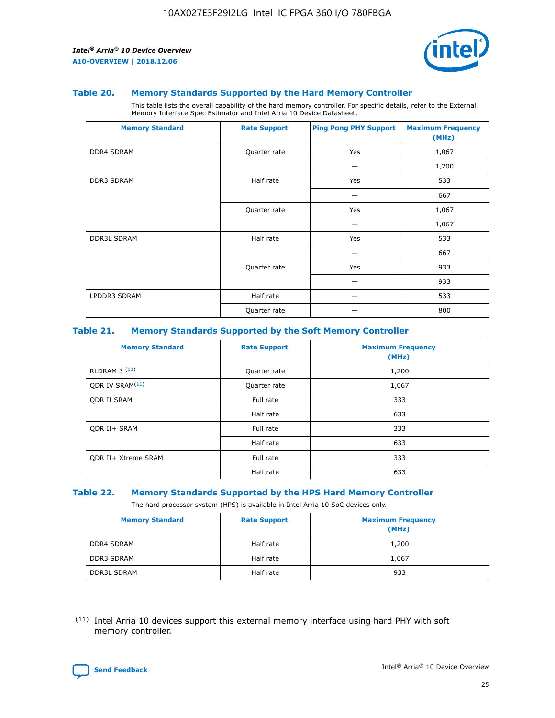

#### **Table 20. Memory Standards Supported by the Hard Memory Controller**

This table lists the overall capability of the hard memory controller. For specific details, refer to the External Memory Interface Spec Estimator and Intel Arria 10 Device Datasheet.

| <b>Memory Standard</b> | <b>Rate Support</b> | <b>Ping Pong PHY Support</b> | <b>Maximum Frequency</b><br>(MHz) |
|------------------------|---------------------|------------------------------|-----------------------------------|
| <b>DDR4 SDRAM</b>      | Quarter rate        | Yes                          | 1,067                             |
|                        |                     |                              | 1,200                             |
| <b>DDR3 SDRAM</b>      | Half rate           | Yes                          | 533                               |
|                        |                     |                              | 667                               |
|                        | Quarter rate        | Yes                          | 1,067                             |
|                        |                     |                              | 1,067                             |
| <b>DDR3L SDRAM</b>     | Half rate           | Yes                          | 533                               |
|                        |                     |                              | 667                               |
|                        | Quarter rate        | Yes                          | 933                               |
|                        |                     |                              | 933                               |
| LPDDR3 SDRAM           | Half rate           |                              | 533                               |
|                        | Quarter rate        |                              | 800                               |

#### **Table 21. Memory Standards Supported by the Soft Memory Controller**

| <b>Memory Standard</b>      | <b>Rate Support</b> | <b>Maximum Frequency</b><br>(MHz) |
|-----------------------------|---------------------|-----------------------------------|
| <b>RLDRAM 3 (11)</b>        | Quarter rate        | 1,200                             |
| ODR IV SRAM <sup>(11)</sup> | Quarter rate        | 1,067                             |
| <b>ODR II SRAM</b>          | Full rate           | 333                               |
|                             | Half rate           | 633                               |
| <b>ODR II+ SRAM</b>         | Full rate           | 333                               |
|                             | Half rate           | 633                               |
| <b>ODR II+ Xtreme SRAM</b>  | Full rate           | 333                               |
|                             | Half rate           | 633                               |

#### **Table 22. Memory Standards Supported by the HPS Hard Memory Controller**

The hard processor system (HPS) is available in Intel Arria 10 SoC devices only.

| <b>Memory Standard</b> | <b>Rate Support</b> | <b>Maximum Frequency</b><br>(MHz) |
|------------------------|---------------------|-----------------------------------|
| <b>DDR4 SDRAM</b>      | Half rate           | 1,200                             |
| DDR3 SDRAM             | Half rate           | 1,067                             |
| <b>DDR3L SDRAM</b>     | Half rate           | 933                               |

<sup>(11)</sup> Intel Arria 10 devices support this external memory interface using hard PHY with soft memory controller.

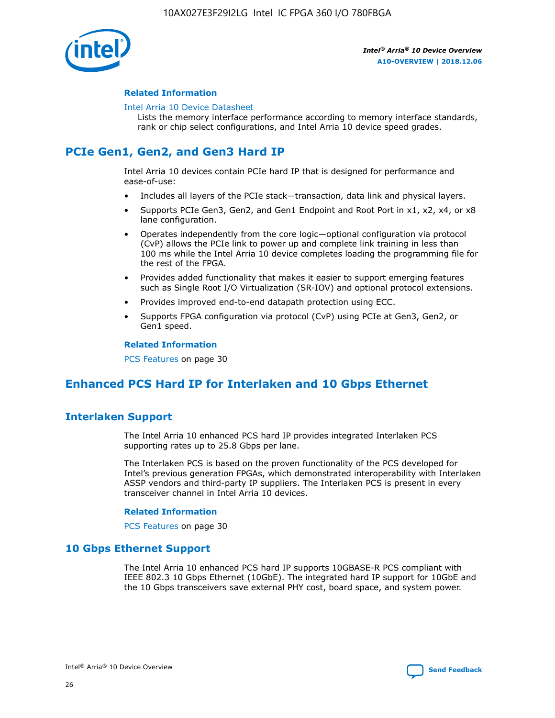

#### **Related Information**

#### [Intel Arria 10 Device Datasheet](https://www.intel.com/content/www/us/en/programmable/documentation/mcn1413182292568.html#mcn1413182153340)

Lists the memory interface performance according to memory interface standards, rank or chip select configurations, and Intel Arria 10 device speed grades.

## **PCIe Gen1, Gen2, and Gen3 Hard IP**

Intel Arria 10 devices contain PCIe hard IP that is designed for performance and ease-of-use:

- Includes all layers of the PCIe stack—transaction, data link and physical layers.
- Supports PCIe Gen3, Gen2, and Gen1 Endpoint and Root Port in x1, x2, x4, or x8 lane configuration.
- Operates independently from the core logic—optional configuration via protocol (CvP) allows the PCIe link to power up and complete link training in less than 100 ms while the Intel Arria 10 device completes loading the programming file for the rest of the FPGA.
- Provides added functionality that makes it easier to support emerging features such as Single Root I/O Virtualization (SR-IOV) and optional protocol extensions.
- Provides improved end-to-end datapath protection using ECC.
- Supports FPGA configuration via protocol (CvP) using PCIe at Gen3, Gen2, or Gen1 speed.

#### **Related Information**

PCS Features on page 30

## **Enhanced PCS Hard IP for Interlaken and 10 Gbps Ethernet**

## **Interlaken Support**

The Intel Arria 10 enhanced PCS hard IP provides integrated Interlaken PCS supporting rates up to 25.8 Gbps per lane.

The Interlaken PCS is based on the proven functionality of the PCS developed for Intel's previous generation FPGAs, which demonstrated interoperability with Interlaken ASSP vendors and third-party IP suppliers. The Interlaken PCS is present in every transceiver channel in Intel Arria 10 devices.

#### **Related Information**

PCS Features on page 30

#### **10 Gbps Ethernet Support**

The Intel Arria 10 enhanced PCS hard IP supports 10GBASE-R PCS compliant with IEEE 802.3 10 Gbps Ethernet (10GbE). The integrated hard IP support for 10GbE and the 10 Gbps transceivers save external PHY cost, board space, and system power.

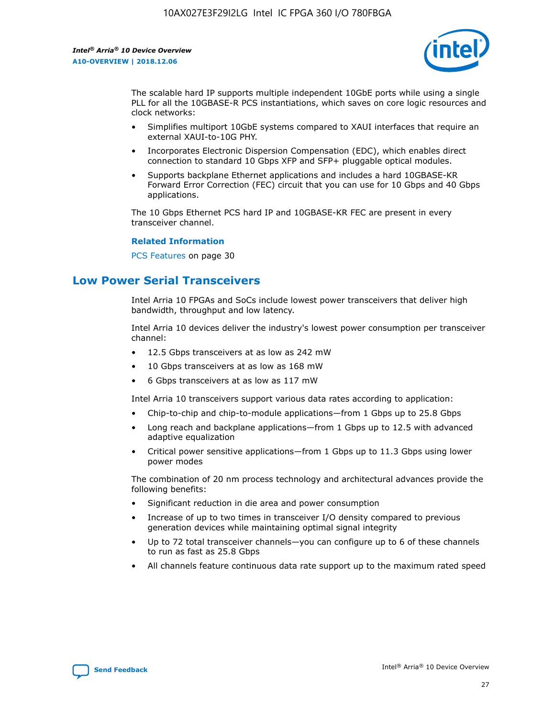

The scalable hard IP supports multiple independent 10GbE ports while using a single PLL for all the 10GBASE-R PCS instantiations, which saves on core logic resources and clock networks:

- Simplifies multiport 10GbE systems compared to XAUI interfaces that require an external XAUI-to-10G PHY.
- Incorporates Electronic Dispersion Compensation (EDC), which enables direct connection to standard 10 Gbps XFP and SFP+ pluggable optical modules.
- Supports backplane Ethernet applications and includes a hard 10GBASE-KR Forward Error Correction (FEC) circuit that you can use for 10 Gbps and 40 Gbps applications.

The 10 Gbps Ethernet PCS hard IP and 10GBASE-KR FEC are present in every transceiver channel.

#### **Related Information**

PCS Features on page 30

## **Low Power Serial Transceivers**

Intel Arria 10 FPGAs and SoCs include lowest power transceivers that deliver high bandwidth, throughput and low latency.

Intel Arria 10 devices deliver the industry's lowest power consumption per transceiver channel:

- 12.5 Gbps transceivers at as low as 242 mW
- 10 Gbps transceivers at as low as 168 mW
- 6 Gbps transceivers at as low as 117 mW

Intel Arria 10 transceivers support various data rates according to application:

- Chip-to-chip and chip-to-module applications—from 1 Gbps up to 25.8 Gbps
- Long reach and backplane applications—from 1 Gbps up to 12.5 with advanced adaptive equalization
- Critical power sensitive applications—from 1 Gbps up to 11.3 Gbps using lower power modes

The combination of 20 nm process technology and architectural advances provide the following benefits:

- Significant reduction in die area and power consumption
- Increase of up to two times in transceiver I/O density compared to previous generation devices while maintaining optimal signal integrity
- Up to 72 total transceiver channels—you can configure up to 6 of these channels to run as fast as 25.8 Gbps
- All channels feature continuous data rate support up to the maximum rated speed

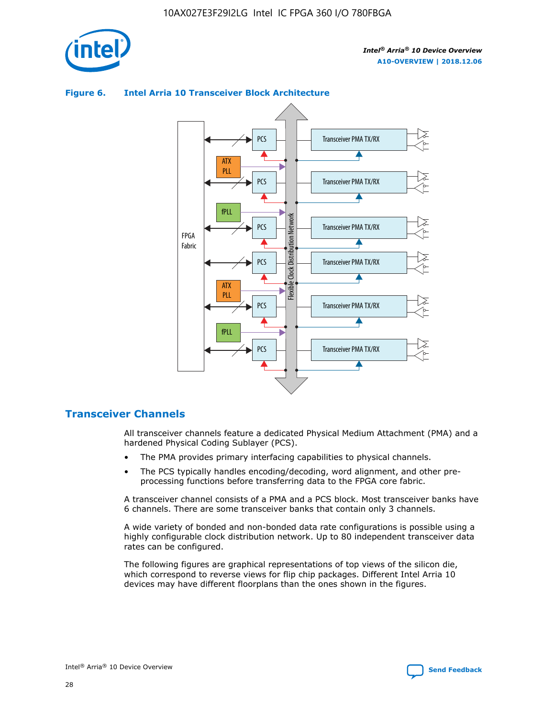

#### Transceiver PMA TX/RX PCS ATX PLL Transceiver PMA TX/RX PCS fPLL Network Flexible Clock Distribution Network PCS Transceiver PMA TX/RX FPGA **Clock Distribution** Fabric PCS Transceiver PMA TX/RX ATX Flexible PLL PCS Transceiver PMA TX/RX ▲ fPLL Transceiver PMA TX/RX PCS 4

#### **Figure 6. Intel Arria 10 Transceiver Block Architecture**

#### **Transceiver Channels**

All transceiver channels feature a dedicated Physical Medium Attachment (PMA) and a hardened Physical Coding Sublayer (PCS).

- The PMA provides primary interfacing capabilities to physical channels.
- The PCS typically handles encoding/decoding, word alignment, and other preprocessing functions before transferring data to the FPGA core fabric.

A transceiver channel consists of a PMA and a PCS block. Most transceiver banks have 6 channels. There are some transceiver banks that contain only 3 channels.

A wide variety of bonded and non-bonded data rate configurations is possible using a highly configurable clock distribution network. Up to 80 independent transceiver data rates can be configured.

The following figures are graphical representations of top views of the silicon die, which correspond to reverse views for flip chip packages. Different Intel Arria 10 devices may have different floorplans than the ones shown in the figures.

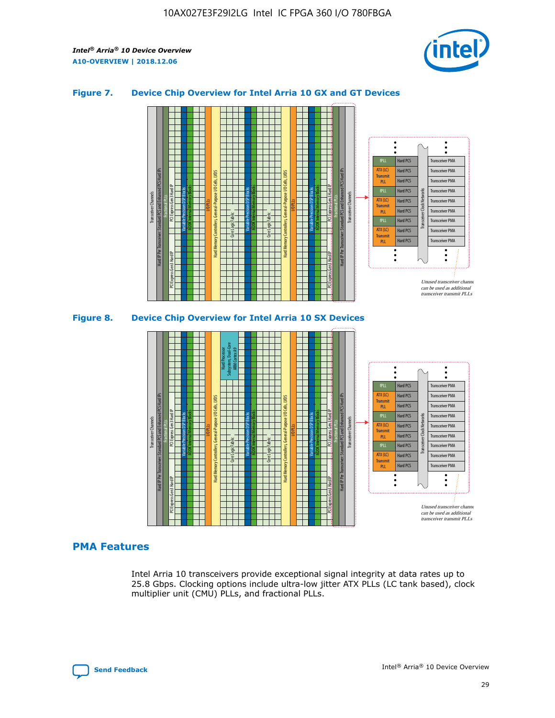

#### **Figure 7. Device Chip Overview for Intel Arria 10 GX and GT Devices**



M20K Internal Memory Blocks Core Logic Fabric Transceiver Channels Hard IP Per Transceiver: Standard PCS and Enhanced PCS Hard IPs PCI Express Gen3 Hard IP Fractional PLLs M20K Internal Memory Blocks PCI Express Gen3 Hard IP Variable Precision DSP Blocks I/O PLLs Hard Memory Controllers, General-Purpose I/O Cells, LVDS Hard Processor Subsystem, Dual-Core ARM Cortex A9 M20K Internal Memory Blocks Variable Precision DSP Blocks M20K Internal Memory Blocks Core Logic Fabric I/O PLLs Hard Memory Controllers, General-Purpose I/O Cells, LVDS M20K Internal Memory Blocks Variable Precision DSP Blocks M20K Internal Memory Blocks Transceiver Channels Hard IP Per Transceiver: Standard PCS and Enhanced PCS Hard IPs PCI Express Gen3 Hard IP Fractional PLLs PCI Express Gen3 Hard IP Hard PCS Hard PCS Hard PCS Hard PCS Hard PCS Hard PCS Hard PCS Hard PCS Hard PCS Transceiver PMA Transceiver PMA Transceiver PMA Transceiver PMA Transceiver PMA Transceiver PMA Transceiver PMA Unused transceiver chann can be used as additional transceiver transmit PLLs Transceiver PMA Transceiver PMA Transceiver Clock Networks ATX (LC) **Transmit** PLL fPLL ATX (LC) Transmi PLL fPLL ATX (LC) **Transmit** PLL

#### **PMA Features**

Intel Arria 10 transceivers provide exceptional signal integrity at data rates up to 25.8 Gbps. Clocking options include ultra-low jitter ATX PLLs (LC tank based), clock multiplier unit (CMU) PLLs, and fractional PLLs.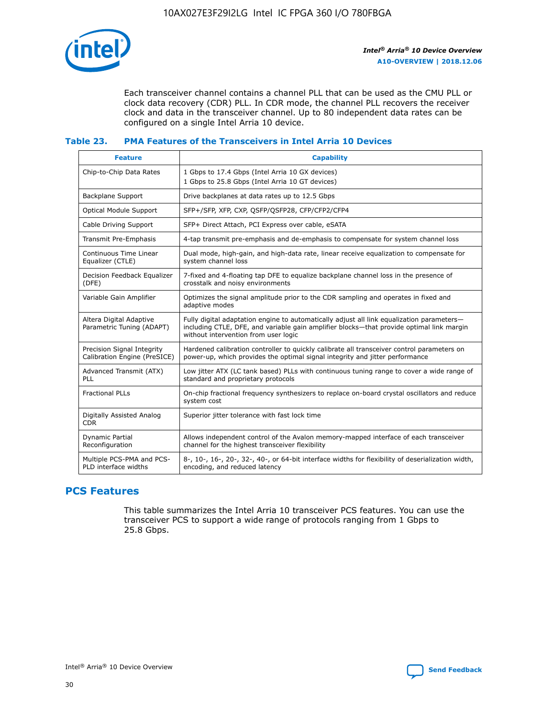

Each transceiver channel contains a channel PLL that can be used as the CMU PLL or clock data recovery (CDR) PLL. In CDR mode, the channel PLL recovers the receiver clock and data in the transceiver channel. Up to 80 independent data rates can be configured on a single Intel Arria 10 device.

#### **Table 23. PMA Features of the Transceivers in Intel Arria 10 Devices**

| <b>Feature</b>                                             | <b>Capability</b>                                                                                                                                                                                                             |
|------------------------------------------------------------|-------------------------------------------------------------------------------------------------------------------------------------------------------------------------------------------------------------------------------|
| Chip-to-Chip Data Rates                                    | 1 Gbps to 17.4 Gbps (Intel Arria 10 GX devices)<br>1 Gbps to 25.8 Gbps (Intel Arria 10 GT devices)                                                                                                                            |
| <b>Backplane Support</b>                                   | Drive backplanes at data rates up to 12.5 Gbps                                                                                                                                                                                |
| <b>Optical Module Support</b>                              | SFP+/SFP, XFP, CXP, QSFP/QSFP28, CFP/CFP2/CFP4                                                                                                                                                                                |
| Cable Driving Support                                      | SFP+ Direct Attach, PCI Express over cable, eSATA                                                                                                                                                                             |
| Transmit Pre-Emphasis                                      | 4-tap transmit pre-emphasis and de-emphasis to compensate for system channel loss                                                                                                                                             |
| Continuous Time Linear<br>Equalizer (CTLE)                 | Dual mode, high-gain, and high-data rate, linear receive equalization to compensate for<br>system channel loss                                                                                                                |
| Decision Feedback Equalizer<br>(DFE)                       | 7-fixed and 4-floating tap DFE to equalize backplane channel loss in the presence of<br>crosstalk and noisy environments                                                                                                      |
| Variable Gain Amplifier                                    | Optimizes the signal amplitude prior to the CDR sampling and operates in fixed and<br>adaptive modes                                                                                                                          |
| Altera Digital Adaptive<br>Parametric Tuning (ADAPT)       | Fully digital adaptation engine to automatically adjust all link equalization parameters-<br>including CTLE, DFE, and variable gain amplifier blocks—that provide optimal link margin<br>without intervention from user logic |
| Precision Signal Integrity<br>Calibration Engine (PreSICE) | Hardened calibration controller to quickly calibrate all transceiver control parameters on<br>power-up, which provides the optimal signal integrity and jitter performance                                                    |
| Advanced Transmit (ATX)<br><b>PLL</b>                      | Low jitter ATX (LC tank based) PLLs with continuous tuning range to cover a wide range of<br>standard and proprietary protocols                                                                                               |
| <b>Fractional PLLs</b>                                     | On-chip fractional frequency synthesizers to replace on-board crystal oscillators and reduce<br>system cost                                                                                                                   |
| Digitally Assisted Analog<br><b>CDR</b>                    | Superior jitter tolerance with fast lock time                                                                                                                                                                                 |
| <b>Dynamic Partial</b><br>Reconfiguration                  | Allows independent control of the Avalon memory-mapped interface of each transceiver<br>channel for the highest transceiver flexibility                                                                                       |
| Multiple PCS-PMA and PCS-<br>PLD interface widths          | 8-, 10-, 16-, 20-, 32-, 40-, or 64-bit interface widths for flexibility of deserialization width,<br>encoding, and reduced latency                                                                                            |

## **PCS Features**

This table summarizes the Intel Arria 10 transceiver PCS features. You can use the transceiver PCS to support a wide range of protocols ranging from 1 Gbps to 25.8 Gbps.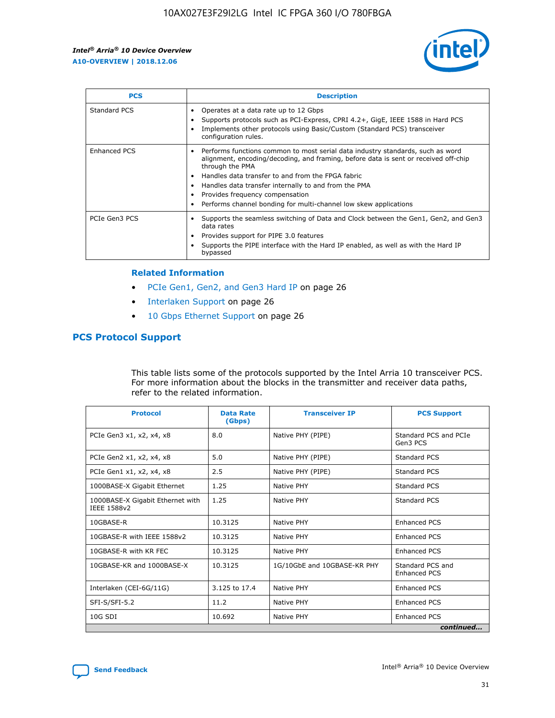

| <b>PCS</b>          | <b>Description</b>                                                                                                                                                                                                                                                                                                                                                                                             |
|---------------------|----------------------------------------------------------------------------------------------------------------------------------------------------------------------------------------------------------------------------------------------------------------------------------------------------------------------------------------------------------------------------------------------------------------|
| Standard PCS        | Operates at a data rate up to 12 Gbps<br>Supports protocols such as PCI-Express, CPRI 4.2+, GigE, IEEE 1588 in Hard PCS<br>Implements other protocols using Basic/Custom (Standard PCS) transceiver<br>configuration rules.                                                                                                                                                                                    |
| <b>Enhanced PCS</b> | Performs functions common to most serial data industry standards, such as word<br>alignment, encoding/decoding, and framing, before data is sent or received off-chip<br>through the PMA<br>• Handles data transfer to and from the FPGA fabric<br>Handles data transfer internally to and from the PMA<br>Provides frequency compensation<br>Performs channel bonding for multi-channel low skew applications |
| PCIe Gen3 PCS       | Supports the seamless switching of Data and Clock between the Gen1, Gen2, and Gen3<br>data rates<br>Provides support for PIPE 3.0 features<br>Supports the PIPE interface with the Hard IP enabled, as well as with the Hard IP<br>bypassed                                                                                                                                                                    |

#### **Related Information**

- PCIe Gen1, Gen2, and Gen3 Hard IP on page 26
- Interlaken Support on page 26
- 10 Gbps Ethernet Support on page 26

## **PCS Protocol Support**

This table lists some of the protocols supported by the Intel Arria 10 transceiver PCS. For more information about the blocks in the transmitter and receiver data paths, refer to the related information.

| <b>Protocol</b>                                 | <b>Data Rate</b><br>(Gbps) | <b>Transceiver IP</b>       | <b>PCS Support</b>                      |
|-------------------------------------------------|----------------------------|-----------------------------|-----------------------------------------|
| PCIe Gen3 x1, x2, x4, x8                        | 8.0                        | Native PHY (PIPE)           | Standard PCS and PCIe<br>Gen3 PCS       |
| PCIe Gen2 x1, x2, x4, x8                        | 5.0                        | Native PHY (PIPE)           | <b>Standard PCS</b>                     |
| PCIe Gen1 x1, x2, x4, x8                        | 2.5                        | Native PHY (PIPE)           | Standard PCS                            |
| 1000BASE-X Gigabit Ethernet                     | 1.25                       | Native PHY                  | <b>Standard PCS</b>                     |
| 1000BASE-X Gigabit Ethernet with<br>IEEE 1588v2 | 1.25                       | Native PHY                  | Standard PCS                            |
| 10GBASE-R                                       | 10.3125                    | Native PHY                  | <b>Enhanced PCS</b>                     |
| 10GBASE-R with IEEE 1588v2                      | 10.3125                    | Native PHY                  | <b>Enhanced PCS</b>                     |
| 10GBASE-R with KR FEC                           | 10.3125                    | Native PHY                  | <b>Enhanced PCS</b>                     |
| 10GBASE-KR and 1000BASE-X                       | 10.3125                    | 1G/10GbE and 10GBASE-KR PHY | Standard PCS and<br><b>Enhanced PCS</b> |
| Interlaken (CEI-6G/11G)                         | 3.125 to 17.4              | Native PHY                  | <b>Enhanced PCS</b>                     |
| SFI-S/SFI-5.2                                   | 11.2                       | Native PHY                  | <b>Enhanced PCS</b>                     |
| $10G$ SDI                                       | 10.692                     | Native PHY                  | <b>Enhanced PCS</b>                     |
|                                                 |                            |                             | continued                               |

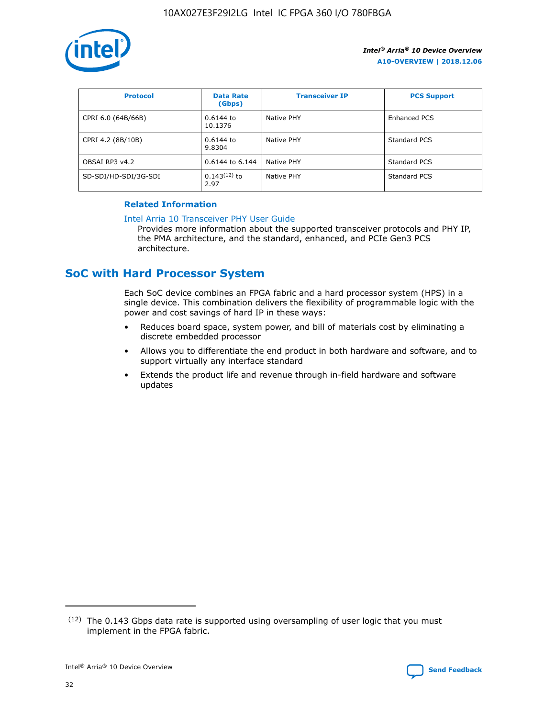

| <b>Protocol</b>      | <b>Data Rate</b><br>(Gbps) | <b>Transceiver IP</b> | <b>PCS Support</b> |
|----------------------|----------------------------|-----------------------|--------------------|
| CPRI 6.0 (64B/66B)   | 0.6144 to<br>10.1376       | Native PHY            | Enhanced PCS       |
| CPRI 4.2 (8B/10B)    | 0.6144 to<br>9.8304        | Native PHY            | Standard PCS       |
| OBSAI RP3 v4.2       | 0.6144 to 6.144            | Native PHY            | Standard PCS       |
| SD-SDI/HD-SDI/3G-SDI | $0.143(12)$ to<br>2.97     | Native PHY            | Standard PCS       |

#### **Related Information**

#### [Intel Arria 10 Transceiver PHY User Guide](https://www.intel.com/content/www/us/en/programmable/documentation/nik1398707230472.html#nik1398707091164)

Provides more information about the supported transceiver protocols and PHY IP, the PMA architecture, and the standard, enhanced, and PCIe Gen3 PCS architecture.

## **SoC with Hard Processor System**

Each SoC device combines an FPGA fabric and a hard processor system (HPS) in a single device. This combination delivers the flexibility of programmable logic with the power and cost savings of hard IP in these ways:

- Reduces board space, system power, and bill of materials cost by eliminating a discrete embedded processor
- Allows you to differentiate the end product in both hardware and software, and to support virtually any interface standard
- Extends the product life and revenue through in-field hardware and software updates

 $(12)$  The 0.143 Gbps data rate is supported using oversampling of user logic that you must implement in the FPGA fabric.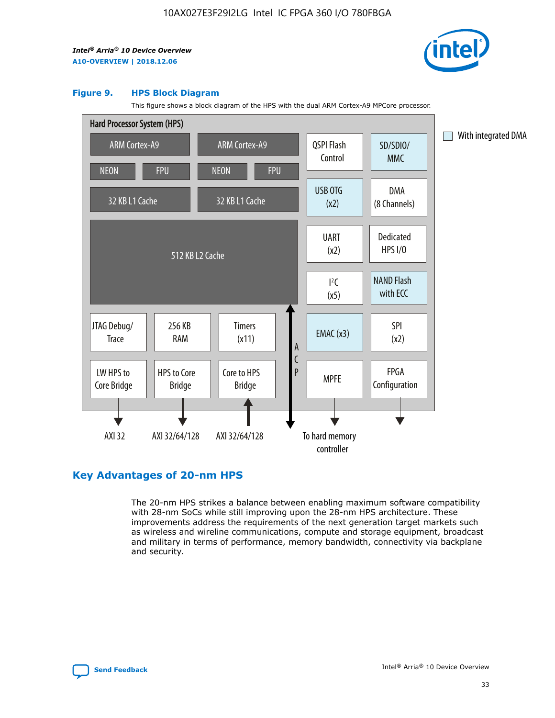

#### **Figure 9. HPS Block Diagram**

This figure shows a block diagram of the HPS with the dual ARM Cortex-A9 MPCore processor.



## **Key Advantages of 20-nm HPS**

The 20-nm HPS strikes a balance between enabling maximum software compatibility with 28-nm SoCs while still improving upon the 28-nm HPS architecture. These improvements address the requirements of the next generation target markets such as wireless and wireline communications, compute and storage equipment, broadcast and military in terms of performance, memory bandwidth, connectivity via backplane and security.

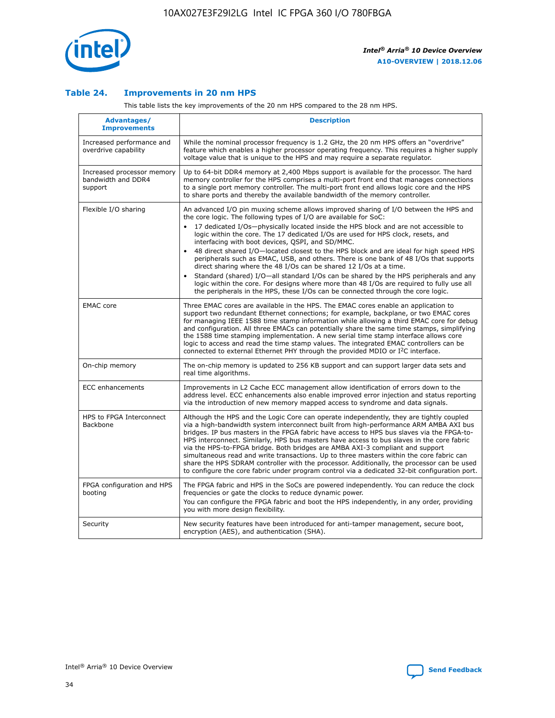

#### **Table 24. Improvements in 20 nm HPS**

This table lists the key improvements of the 20 nm HPS compared to the 28 nm HPS.

| Advantages/<br><b>Improvements</b>                          | <b>Description</b>                                                                                                                                                                                                                                                                                                                                                                                                                                                                                                                                                                                                                                                                                                                                                                                                                                                                                                                   |
|-------------------------------------------------------------|--------------------------------------------------------------------------------------------------------------------------------------------------------------------------------------------------------------------------------------------------------------------------------------------------------------------------------------------------------------------------------------------------------------------------------------------------------------------------------------------------------------------------------------------------------------------------------------------------------------------------------------------------------------------------------------------------------------------------------------------------------------------------------------------------------------------------------------------------------------------------------------------------------------------------------------|
| Increased performance and<br>overdrive capability           | While the nominal processor frequency is 1.2 GHz, the 20 nm HPS offers an "overdrive"<br>feature which enables a higher processor operating frequency. This requires a higher supply<br>voltage value that is unique to the HPS and may require a separate regulator.                                                                                                                                                                                                                                                                                                                                                                                                                                                                                                                                                                                                                                                                |
| Increased processor memory<br>bandwidth and DDR4<br>support | Up to 64-bit DDR4 memory at 2,400 Mbps support is available for the processor. The hard<br>memory controller for the HPS comprises a multi-port front end that manages connections<br>to a single port memory controller. The multi-port front end allows logic core and the HPS<br>to share ports and thereby the available bandwidth of the memory controller.                                                                                                                                                                                                                                                                                                                                                                                                                                                                                                                                                                     |
| Flexible I/O sharing                                        | An advanced I/O pin muxing scheme allows improved sharing of I/O between the HPS and<br>the core logic. The following types of I/O are available for SoC:<br>17 dedicated I/Os-physically located inside the HPS block and are not accessible to<br>logic within the core. The 17 dedicated I/Os are used for HPS clock, resets, and<br>interfacing with boot devices, QSPI, and SD/MMC.<br>48 direct shared I/O-located closest to the HPS block and are ideal for high speed HPS<br>$\bullet$<br>peripherals such as EMAC, USB, and others. There is one bank of 48 I/Os that supports<br>direct sharing where the 48 I/Os can be shared 12 I/Os at a time.<br>Standard (shared) I/O—all standard I/Os can be shared by the HPS peripherals and any<br>logic within the core. For designs where more than 48 I/Os are required to fully use all<br>the peripherals in the HPS, these I/Os can be connected through the core logic. |
| <b>EMAC</b> core                                            | Three EMAC cores are available in the HPS. The EMAC cores enable an application to<br>support two redundant Ethernet connections; for example, backplane, or two EMAC cores<br>for managing IEEE 1588 time stamp information while allowing a third EMAC core for debug<br>and configuration. All three EMACs can potentially share the same time stamps, simplifying<br>the 1588 time stamping implementation. A new serial time stamp interface allows core<br>logic to access and read the time stamp values. The integrated EMAC controllers can be<br>connected to external Ethernet PHY through the provided MDIO or I <sup>2</sup> C interface.                                                                                                                                                                                                                                                                               |
| On-chip memory                                              | The on-chip memory is updated to 256 KB support and can support larger data sets and<br>real time algorithms.                                                                                                                                                                                                                                                                                                                                                                                                                                                                                                                                                                                                                                                                                                                                                                                                                        |
| <b>ECC</b> enhancements                                     | Improvements in L2 Cache ECC management allow identification of errors down to the<br>address level. ECC enhancements also enable improved error injection and status reporting<br>via the introduction of new memory mapped access to syndrome and data signals.                                                                                                                                                                                                                                                                                                                                                                                                                                                                                                                                                                                                                                                                    |
| HPS to FPGA Interconnect<br>Backbone                        | Although the HPS and the Logic Core can operate independently, they are tightly coupled<br>via a high-bandwidth system interconnect built from high-performance ARM AMBA AXI bus<br>bridges. IP bus masters in the FPGA fabric have access to HPS bus slaves via the FPGA-to-<br>HPS interconnect. Similarly, HPS bus masters have access to bus slaves in the core fabric<br>via the HPS-to-FPGA bridge. Both bridges are AMBA AXI-3 compliant and support<br>simultaneous read and write transactions. Up to three masters within the core fabric can<br>share the HPS SDRAM controller with the processor. Additionally, the processor can be used<br>to configure the core fabric under program control via a dedicated 32-bit configuration port.                                                                                                                                                                               |
| FPGA configuration and HPS<br>booting                       | The FPGA fabric and HPS in the SoCs are powered independently. You can reduce the clock<br>frequencies or gate the clocks to reduce dynamic power.<br>You can configure the FPGA fabric and boot the HPS independently, in any order, providing<br>you with more design flexibility.                                                                                                                                                                                                                                                                                                                                                                                                                                                                                                                                                                                                                                                 |
| Security                                                    | New security features have been introduced for anti-tamper management, secure boot,<br>encryption (AES), and authentication (SHA).                                                                                                                                                                                                                                                                                                                                                                                                                                                                                                                                                                                                                                                                                                                                                                                                   |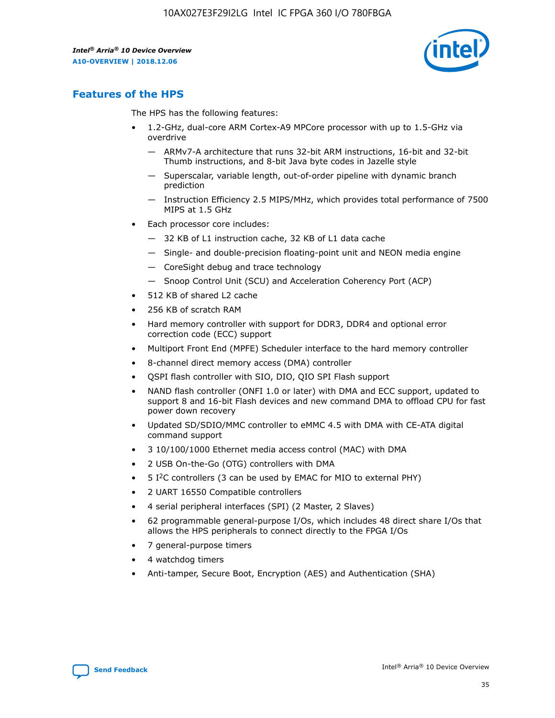

## **Features of the HPS**

The HPS has the following features:

- 1.2-GHz, dual-core ARM Cortex-A9 MPCore processor with up to 1.5-GHz via overdrive
	- ARMv7-A architecture that runs 32-bit ARM instructions, 16-bit and 32-bit Thumb instructions, and 8-bit Java byte codes in Jazelle style
	- Superscalar, variable length, out-of-order pipeline with dynamic branch prediction
	- Instruction Efficiency 2.5 MIPS/MHz, which provides total performance of 7500 MIPS at 1.5 GHz
- Each processor core includes:
	- 32 KB of L1 instruction cache, 32 KB of L1 data cache
	- Single- and double-precision floating-point unit and NEON media engine
	- CoreSight debug and trace technology
	- Snoop Control Unit (SCU) and Acceleration Coherency Port (ACP)
- 512 KB of shared L2 cache
- 256 KB of scratch RAM
- Hard memory controller with support for DDR3, DDR4 and optional error correction code (ECC) support
- Multiport Front End (MPFE) Scheduler interface to the hard memory controller
- 8-channel direct memory access (DMA) controller
- QSPI flash controller with SIO, DIO, QIO SPI Flash support
- NAND flash controller (ONFI 1.0 or later) with DMA and ECC support, updated to support 8 and 16-bit Flash devices and new command DMA to offload CPU for fast power down recovery
- Updated SD/SDIO/MMC controller to eMMC 4.5 with DMA with CE-ATA digital command support
- 3 10/100/1000 Ethernet media access control (MAC) with DMA
- 2 USB On-the-Go (OTG) controllers with DMA
- $\bullet$  5 I<sup>2</sup>C controllers (3 can be used by EMAC for MIO to external PHY)
- 2 UART 16550 Compatible controllers
- 4 serial peripheral interfaces (SPI) (2 Master, 2 Slaves)
- 62 programmable general-purpose I/Os, which includes 48 direct share I/Os that allows the HPS peripherals to connect directly to the FPGA I/Os
- 7 general-purpose timers
- 4 watchdog timers
- Anti-tamper, Secure Boot, Encryption (AES) and Authentication (SHA)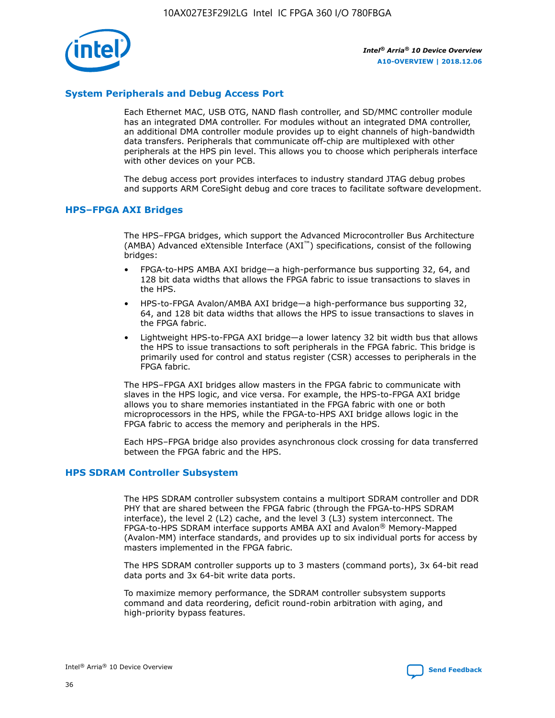

#### **System Peripherals and Debug Access Port**

Each Ethernet MAC, USB OTG, NAND flash controller, and SD/MMC controller module has an integrated DMA controller. For modules without an integrated DMA controller, an additional DMA controller module provides up to eight channels of high-bandwidth data transfers. Peripherals that communicate off-chip are multiplexed with other peripherals at the HPS pin level. This allows you to choose which peripherals interface with other devices on your PCB.

The debug access port provides interfaces to industry standard JTAG debug probes and supports ARM CoreSight debug and core traces to facilitate software development.

#### **HPS–FPGA AXI Bridges**

The HPS–FPGA bridges, which support the Advanced Microcontroller Bus Architecture (AMBA) Advanced eXtensible Interface (AXI™) specifications, consist of the following bridges:

- FPGA-to-HPS AMBA AXI bridge—a high-performance bus supporting 32, 64, and 128 bit data widths that allows the FPGA fabric to issue transactions to slaves in the HPS.
- HPS-to-FPGA Avalon/AMBA AXI bridge—a high-performance bus supporting 32, 64, and 128 bit data widths that allows the HPS to issue transactions to slaves in the FPGA fabric.
- Lightweight HPS-to-FPGA AXI bridge—a lower latency 32 bit width bus that allows the HPS to issue transactions to soft peripherals in the FPGA fabric. This bridge is primarily used for control and status register (CSR) accesses to peripherals in the FPGA fabric.

The HPS–FPGA AXI bridges allow masters in the FPGA fabric to communicate with slaves in the HPS logic, and vice versa. For example, the HPS-to-FPGA AXI bridge allows you to share memories instantiated in the FPGA fabric with one or both microprocessors in the HPS, while the FPGA-to-HPS AXI bridge allows logic in the FPGA fabric to access the memory and peripherals in the HPS.

Each HPS–FPGA bridge also provides asynchronous clock crossing for data transferred between the FPGA fabric and the HPS.

#### **HPS SDRAM Controller Subsystem**

The HPS SDRAM controller subsystem contains a multiport SDRAM controller and DDR PHY that are shared between the FPGA fabric (through the FPGA-to-HPS SDRAM interface), the level 2 (L2) cache, and the level 3 (L3) system interconnect. The FPGA-to-HPS SDRAM interface supports AMBA AXI and Avalon® Memory-Mapped (Avalon-MM) interface standards, and provides up to six individual ports for access by masters implemented in the FPGA fabric.

The HPS SDRAM controller supports up to 3 masters (command ports), 3x 64-bit read data ports and 3x 64-bit write data ports.

To maximize memory performance, the SDRAM controller subsystem supports command and data reordering, deficit round-robin arbitration with aging, and high-priority bypass features.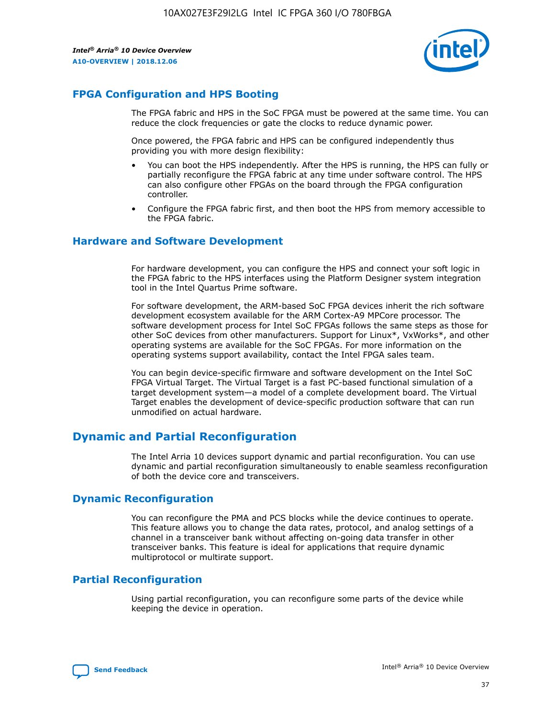

## **FPGA Configuration and HPS Booting**

The FPGA fabric and HPS in the SoC FPGA must be powered at the same time. You can reduce the clock frequencies or gate the clocks to reduce dynamic power.

Once powered, the FPGA fabric and HPS can be configured independently thus providing you with more design flexibility:

- You can boot the HPS independently. After the HPS is running, the HPS can fully or partially reconfigure the FPGA fabric at any time under software control. The HPS can also configure other FPGAs on the board through the FPGA configuration controller.
- Configure the FPGA fabric first, and then boot the HPS from memory accessible to the FPGA fabric.

#### **Hardware and Software Development**

For hardware development, you can configure the HPS and connect your soft logic in the FPGA fabric to the HPS interfaces using the Platform Designer system integration tool in the Intel Quartus Prime software.

For software development, the ARM-based SoC FPGA devices inherit the rich software development ecosystem available for the ARM Cortex-A9 MPCore processor. The software development process for Intel SoC FPGAs follows the same steps as those for other SoC devices from other manufacturers. Support for Linux\*, VxWorks\*, and other operating systems are available for the SoC FPGAs. For more information on the operating systems support availability, contact the Intel FPGA sales team.

You can begin device-specific firmware and software development on the Intel SoC FPGA Virtual Target. The Virtual Target is a fast PC-based functional simulation of a target development system—a model of a complete development board. The Virtual Target enables the development of device-specific production software that can run unmodified on actual hardware.

## **Dynamic and Partial Reconfiguration**

The Intel Arria 10 devices support dynamic and partial reconfiguration. You can use dynamic and partial reconfiguration simultaneously to enable seamless reconfiguration of both the device core and transceivers.

## **Dynamic Reconfiguration**

You can reconfigure the PMA and PCS blocks while the device continues to operate. This feature allows you to change the data rates, protocol, and analog settings of a channel in a transceiver bank without affecting on-going data transfer in other transceiver banks. This feature is ideal for applications that require dynamic multiprotocol or multirate support.

## **Partial Reconfiguration**

Using partial reconfiguration, you can reconfigure some parts of the device while keeping the device in operation.

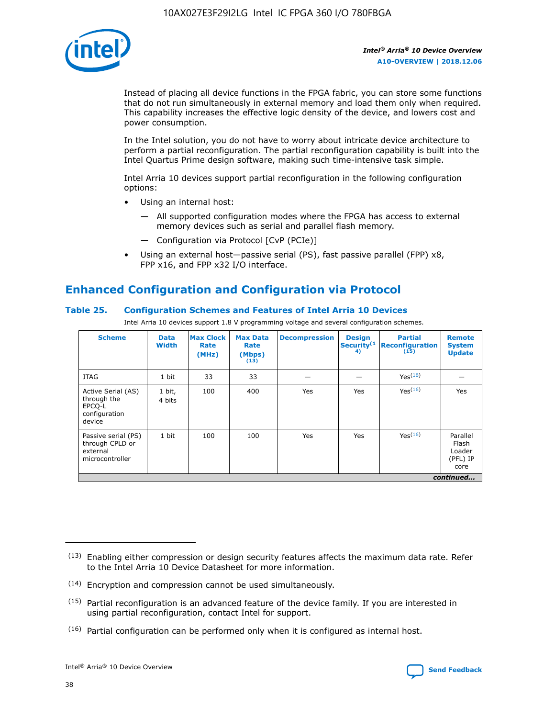

Instead of placing all device functions in the FPGA fabric, you can store some functions that do not run simultaneously in external memory and load them only when required. This capability increases the effective logic density of the device, and lowers cost and power consumption.

In the Intel solution, you do not have to worry about intricate device architecture to perform a partial reconfiguration. The partial reconfiguration capability is built into the Intel Quartus Prime design software, making such time-intensive task simple.

Intel Arria 10 devices support partial reconfiguration in the following configuration options:

- Using an internal host:
	- All supported configuration modes where the FPGA has access to external memory devices such as serial and parallel flash memory.
	- Configuration via Protocol [CvP (PCIe)]
- Using an external host—passive serial (PS), fast passive parallel (FPP) x8, FPP x16, and FPP x32 I/O interface.

## **Enhanced Configuration and Configuration via Protocol**

#### **Table 25. Configuration Schemes and Features of Intel Arria 10 Devices**

Intel Arria 10 devices support 1.8 V programming voltage and several configuration schemes.

| <b>Scheme</b>                                                          | <b>Data</b><br><b>Width</b> | <b>Max Clock</b><br>Rate<br>(MHz) | <b>Max Data</b><br>Rate<br>(Mbps)<br>(13) | <b>Decompression</b> | <b>Design</b><br>Security <sup>(1</sup><br>4) | <b>Partial</b><br>Reconfiguration<br>(15) | <b>Remote</b><br><b>System</b><br><b>Update</b> |
|------------------------------------------------------------------------|-----------------------------|-----------------------------------|-------------------------------------------|----------------------|-----------------------------------------------|-------------------------------------------|-------------------------------------------------|
| <b>JTAG</b>                                                            | 1 bit                       | 33                                | 33                                        |                      |                                               | Yes <sup>(16)</sup>                       |                                                 |
| Active Serial (AS)<br>through the<br>EPCO-L<br>configuration<br>device | 1 bit,<br>4 bits            | 100                               | 400                                       | Yes                  | Yes                                           | $Y_{PS}(16)$                              | Yes                                             |
| Passive serial (PS)<br>through CPLD or<br>external<br>microcontroller  | 1 bit                       | 100                               | 100                                       | Yes                  | Yes                                           | Yes(16)                                   | Parallel<br>Flash<br>Loader<br>(PFL) IP<br>core |
|                                                                        |                             |                                   |                                           |                      |                                               |                                           | continued                                       |

<sup>(13)</sup> Enabling either compression or design security features affects the maximum data rate. Refer to the Intel Arria 10 Device Datasheet for more information.

<sup>(14)</sup> Encryption and compression cannot be used simultaneously.

 $<sup>(15)</sup>$  Partial reconfiguration is an advanced feature of the device family. If you are interested in</sup> using partial reconfiguration, contact Intel for support.

 $(16)$  Partial configuration can be performed only when it is configured as internal host.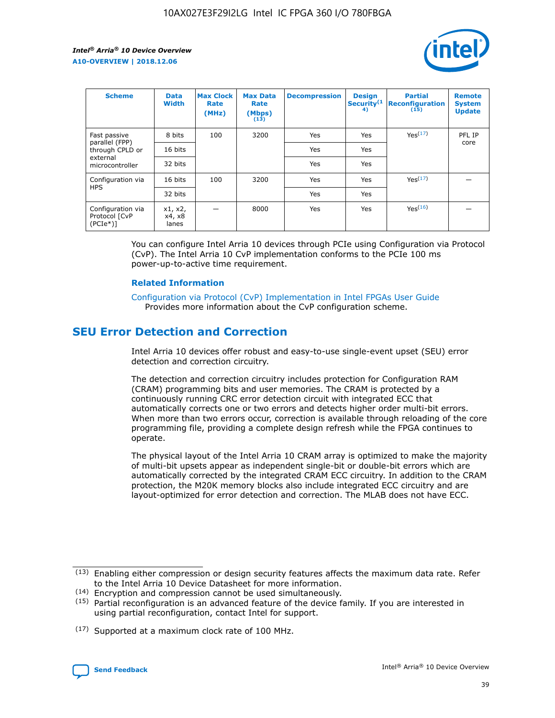

| <b>Scheme</b>                                   | <b>Data</b><br><b>Width</b> | <b>Max Clock</b><br>Rate<br>(MHz) | <b>Max Data</b><br>Rate<br>(Mbps)<br>(13) | <b>Decompression</b> | <b>Design</b><br>Security <sup>(1</sup><br>4) | <b>Partial</b><br><b>Reconfiguration</b><br>(15) | <b>Remote</b><br><b>System</b><br><b>Update</b> |
|-------------------------------------------------|-----------------------------|-----------------------------------|-------------------------------------------|----------------------|-----------------------------------------------|--------------------------------------------------|-------------------------------------------------|
| Fast passive                                    | 8 bits                      | 100                               | 3200                                      | Yes                  | Yes                                           | Yes(17)                                          | PFL IP                                          |
| parallel (FPP)<br>through CPLD or               | 16 bits                     |                                   |                                           | Yes                  | Yes                                           |                                                  | core                                            |
| external<br>microcontroller                     | 32 bits                     |                                   |                                           | Yes                  | Yes                                           |                                                  |                                                 |
| Configuration via                               | 16 bits                     | 100                               | 3200                                      | Yes                  | Yes                                           | Yes <sup>(17)</sup>                              |                                                 |
| <b>HPS</b>                                      | 32 bits                     |                                   |                                           | Yes                  | Yes                                           |                                                  |                                                 |
| Configuration via<br>Protocol [CvP<br>$(PCIe*)$ | x1, x2,<br>x4, x8<br>lanes  |                                   | 8000                                      | Yes                  | Yes                                           | Yes(16)                                          |                                                 |

You can configure Intel Arria 10 devices through PCIe using Configuration via Protocol (CvP). The Intel Arria 10 CvP implementation conforms to the PCIe 100 ms power-up-to-active time requirement.

#### **Related Information**

[Configuration via Protocol \(CvP\) Implementation in Intel FPGAs User Guide](https://www.intel.com/content/www/us/en/programmable/documentation/dsu1441819344145.html#dsu1442269728522) Provides more information about the CvP configuration scheme.

## **SEU Error Detection and Correction**

Intel Arria 10 devices offer robust and easy-to-use single-event upset (SEU) error detection and correction circuitry.

The detection and correction circuitry includes protection for Configuration RAM (CRAM) programming bits and user memories. The CRAM is protected by a continuously running CRC error detection circuit with integrated ECC that automatically corrects one or two errors and detects higher order multi-bit errors. When more than two errors occur, correction is available through reloading of the core programming file, providing a complete design refresh while the FPGA continues to operate.

The physical layout of the Intel Arria 10 CRAM array is optimized to make the majority of multi-bit upsets appear as independent single-bit or double-bit errors which are automatically corrected by the integrated CRAM ECC circuitry. In addition to the CRAM protection, the M20K memory blocks also include integrated ECC circuitry and are layout-optimized for error detection and correction. The MLAB does not have ECC.

(14) Encryption and compression cannot be used simultaneously.

<sup>(17)</sup> Supported at a maximum clock rate of 100 MHz.



 $(13)$  Enabling either compression or design security features affects the maximum data rate. Refer to the Intel Arria 10 Device Datasheet for more information.

 $(15)$  Partial reconfiguration is an advanced feature of the device family. If you are interested in using partial reconfiguration, contact Intel for support.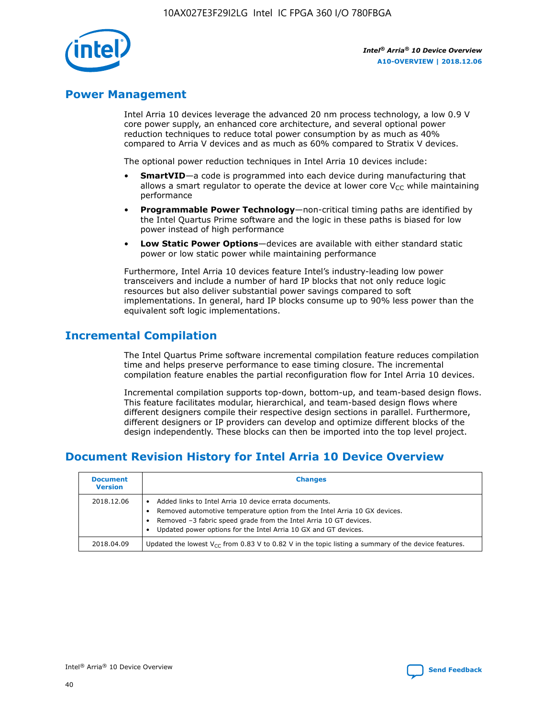

## **Power Management**

Intel Arria 10 devices leverage the advanced 20 nm process technology, a low 0.9 V core power supply, an enhanced core architecture, and several optional power reduction techniques to reduce total power consumption by as much as 40% compared to Arria V devices and as much as 60% compared to Stratix V devices.

The optional power reduction techniques in Intel Arria 10 devices include:

- **SmartVID**—a code is programmed into each device during manufacturing that allows a smart regulator to operate the device at lower core  $V_{CC}$  while maintaining performance
- **Programmable Power Technology**—non-critical timing paths are identified by the Intel Quartus Prime software and the logic in these paths is biased for low power instead of high performance
- **Low Static Power Options**—devices are available with either standard static power or low static power while maintaining performance

Furthermore, Intel Arria 10 devices feature Intel's industry-leading low power transceivers and include a number of hard IP blocks that not only reduce logic resources but also deliver substantial power savings compared to soft implementations. In general, hard IP blocks consume up to 90% less power than the equivalent soft logic implementations.

## **Incremental Compilation**

The Intel Quartus Prime software incremental compilation feature reduces compilation time and helps preserve performance to ease timing closure. The incremental compilation feature enables the partial reconfiguration flow for Intel Arria 10 devices.

Incremental compilation supports top-down, bottom-up, and team-based design flows. This feature facilitates modular, hierarchical, and team-based design flows where different designers compile their respective design sections in parallel. Furthermore, different designers or IP providers can develop and optimize different blocks of the design independently. These blocks can then be imported into the top level project.

## **Document Revision History for Intel Arria 10 Device Overview**

| <b>Document</b><br><b>Version</b> | <b>Changes</b>                                                                                                                                                                                                                                                              |
|-----------------------------------|-----------------------------------------------------------------------------------------------------------------------------------------------------------------------------------------------------------------------------------------------------------------------------|
| 2018.12.06                        | Added links to Intel Arria 10 device errata documents.<br>Removed automotive temperature option from the Intel Arria 10 GX devices.<br>Removed -3 fabric speed grade from the Intel Arria 10 GT devices.<br>Updated power options for the Intel Arria 10 GX and GT devices. |
| 2018.04.09                        | Updated the lowest $V_{CC}$ from 0.83 V to 0.82 V in the topic listing a summary of the device features.                                                                                                                                                                    |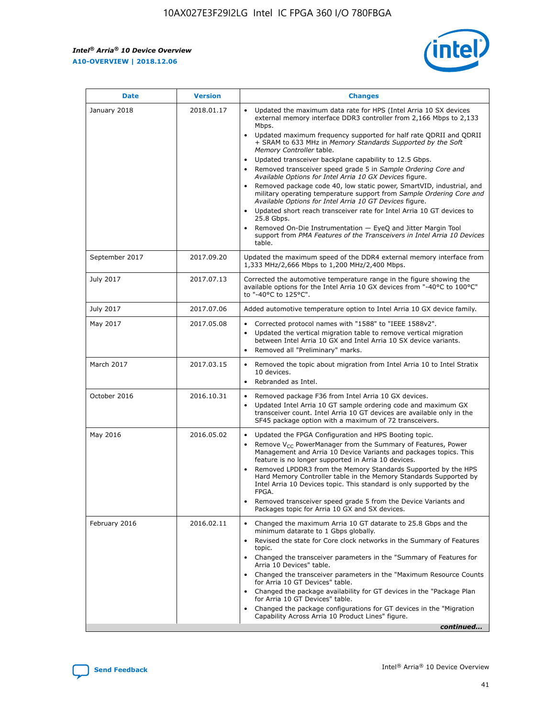

| <b>Date</b>    | <b>Version</b> | <b>Changes</b>                                                                                                                                                                                                                                                                                                                                                                                                                                                                                                                                                                                                                                                                                                                                                                                                                                                                                                                                                                         |
|----------------|----------------|----------------------------------------------------------------------------------------------------------------------------------------------------------------------------------------------------------------------------------------------------------------------------------------------------------------------------------------------------------------------------------------------------------------------------------------------------------------------------------------------------------------------------------------------------------------------------------------------------------------------------------------------------------------------------------------------------------------------------------------------------------------------------------------------------------------------------------------------------------------------------------------------------------------------------------------------------------------------------------------|
| January 2018   | 2018.01.17     | Updated the maximum data rate for HPS (Intel Arria 10 SX devices<br>external memory interface DDR3 controller from 2,166 Mbps to 2,133<br>Mbps.<br>Updated maximum frequency supported for half rate QDRII and QDRII<br>+ SRAM to 633 MHz in Memory Standards Supported by the Soft<br>Memory Controller table.<br>Updated transceiver backplane capability to 12.5 Gbps.<br>$\bullet$<br>Removed transceiver speed grade 5 in Sample Ordering Core and<br>$\bullet$<br>Available Options for Intel Arria 10 GX Devices figure.<br>Removed package code 40, low static power, SmartVID, industrial, and<br>military operating temperature support from Sample Ordering Core and<br>Available Options for Intel Arria 10 GT Devices figure.<br>Updated short reach transceiver rate for Intel Arria 10 GT devices to<br>25.8 Gbps.<br>Removed On-Die Instrumentation - EyeQ and Jitter Margin Tool<br>support from PMA Features of the Transceivers in Intel Arria 10 Devices<br>table. |
| September 2017 | 2017.09.20     | Updated the maximum speed of the DDR4 external memory interface from<br>1,333 MHz/2,666 Mbps to 1,200 MHz/2,400 Mbps.                                                                                                                                                                                                                                                                                                                                                                                                                                                                                                                                                                                                                                                                                                                                                                                                                                                                  |
| July 2017      | 2017.07.13     | Corrected the automotive temperature range in the figure showing the<br>available options for the Intel Arria 10 GX devices from "-40°C to 100°C"<br>to "-40°C to 125°C".                                                                                                                                                                                                                                                                                                                                                                                                                                                                                                                                                                                                                                                                                                                                                                                                              |
| July 2017      | 2017.07.06     | Added automotive temperature option to Intel Arria 10 GX device family.                                                                                                                                                                                                                                                                                                                                                                                                                                                                                                                                                                                                                                                                                                                                                                                                                                                                                                                |
| May 2017       | 2017.05.08     | Corrected protocol names with "1588" to "IEEE 1588v2".<br>$\bullet$<br>Updated the vertical migration table to remove vertical migration<br>$\bullet$<br>between Intel Arria 10 GX and Intel Arria 10 SX device variants.<br>Removed all "Preliminary" marks.<br>$\bullet$                                                                                                                                                                                                                                                                                                                                                                                                                                                                                                                                                                                                                                                                                                             |
| March 2017     | 2017.03.15     | Removed the topic about migration from Intel Arria 10 to Intel Stratix<br>$\bullet$<br>10 devices.<br>Rebranded as Intel.<br>$\bullet$                                                                                                                                                                                                                                                                                                                                                                                                                                                                                                                                                                                                                                                                                                                                                                                                                                                 |
| October 2016   | 2016.10.31     | Removed package F36 from Intel Arria 10 GX devices.<br>Updated Intel Arria 10 GT sample ordering code and maximum GX<br>$\bullet$<br>transceiver count. Intel Arria 10 GT devices are available only in the<br>SF45 package option with a maximum of 72 transceivers.                                                                                                                                                                                                                                                                                                                                                                                                                                                                                                                                                                                                                                                                                                                  |
| May 2016       | 2016.05.02     | Updated the FPGA Configuration and HPS Booting topic.<br>$\bullet$<br>Remove V <sub>CC</sub> PowerManager from the Summary of Features, Power<br>Management and Arria 10 Device Variants and packages topics. This<br>feature is no longer supported in Arria 10 devices.<br>Removed LPDDR3 from the Memory Standards Supported by the HPS<br>Hard Memory Controller table in the Memory Standards Supported by<br>Intel Arria 10 Devices topic. This standard is only supported by the<br>FPGA.<br>Removed transceiver speed grade 5 from the Device Variants and<br>Packages topic for Arria 10 GX and SX devices.                                                                                                                                                                                                                                                                                                                                                                   |
| February 2016  | 2016.02.11     | Changed the maximum Arria 10 GT datarate to 25.8 Gbps and the<br>minimum datarate to 1 Gbps globally.<br>Revised the state for Core clock networks in the Summary of Features<br>$\bullet$<br>topic.<br>• Changed the transceiver parameters in the "Summary of Features for<br>Arria 10 Devices" table.<br>• Changed the transceiver parameters in the "Maximum Resource Counts<br>for Arria 10 GT Devices" table.<br>Changed the package availability for GT devices in the "Package Plan<br>for Arria 10 GT Devices" table.<br>Changed the package configurations for GT devices in the "Migration"<br>Capability Across Arria 10 Product Lines" figure.<br>continued                                                                                                                                                                                                                                                                                                               |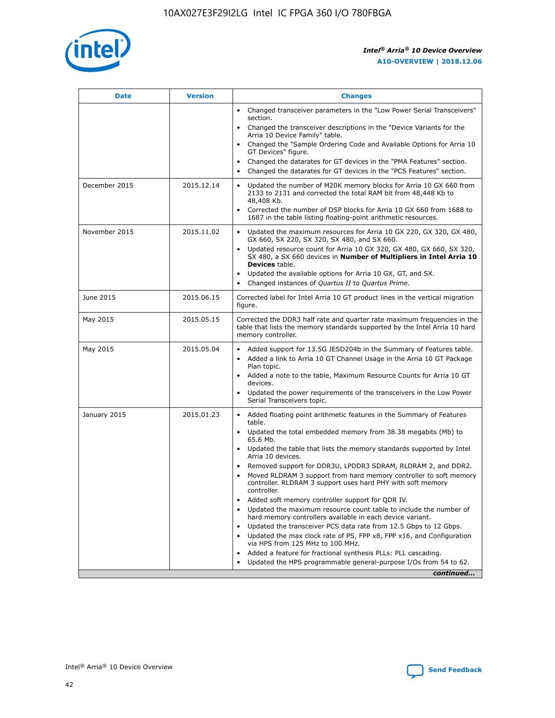

| <b>Date</b>   | <b>Version</b> | <b>Changes</b>                                                                                                                                                                   |
|---------------|----------------|----------------------------------------------------------------------------------------------------------------------------------------------------------------------------------|
|               |                | • Changed transceiver parameters in the "Low Power Serial Transceivers"<br>section.                                                                                              |
|               |                | • Changed the transceiver descriptions in the "Device Variants for the<br>Arria 10 Device Family" table.                                                                         |
|               |                | Changed the "Sample Ordering Code and Available Options for Arria 10<br>GT Devices" figure.                                                                                      |
|               |                | Changed the datarates for GT devices in the "PMA Features" section.                                                                                                              |
|               |                | Changed the datarates for GT devices in the "PCS Features" section.<br>$\bullet$                                                                                                 |
| December 2015 | 2015.12.14     | Updated the number of M20K memory blocks for Arria 10 GX 660 from<br>$\bullet$<br>2133 to 2131 and corrected the total RAM bit from 48,448 Kb to<br>48,408 Kb.                   |
|               |                | Corrected the number of DSP blocks for Arria 10 GX 660 from 1688 to<br>$\bullet$<br>1687 in the table listing floating-point arithmetic resources.                               |
| November 2015 | 2015.11.02     | Updated the maximum resources for Arria 10 GX 220, GX 320, GX 480,<br>$\bullet$<br>GX 660, SX 220, SX 320, SX 480, and SX 660.                                                   |
|               |                | Updated resource count for Arria 10 GX 320, GX 480, GX 660, SX 320,<br>$\bullet$<br>SX 480, a SX 660 devices in Number of Multipliers in Intel Arria 10<br><b>Devices</b> table. |
|               |                | Updated the available options for Arria 10 GX, GT, and SX.<br>$\bullet$                                                                                                          |
|               |                | Changed instances of Quartus II to Quartus Prime.<br>$\bullet$                                                                                                                   |
| June 2015     | 2015.06.15     | Corrected label for Intel Arria 10 GT product lines in the vertical migration<br>figure.                                                                                         |
| May 2015      | 2015.05.15     | Corrected the DDR3 half rate and quarter rate maximum frequencies in the<br>table that lists the memory standards supported by the Intel Arria 10 hard<br>memory controller.     |
| May 2015      | 2015.05.04     | • Added support for 13.5G JESD204b in the Summary of Features table.<br>• Added a link to Arria 10 GT Channel Usage in the Arria 10 GT Package<br>Plan topic.                    |
|               |                | • Added a note to the table, Maximum Resource Counts for Arria 10 GT<br>devices.                                                                                                 |
|               |                | Updated the power requirements of the transceivers in the Low Power<br>Serial Transceivers topic.                                                                                |
| January 2015  | 2015.01.23     | • Added floating point arithmetic features in the Summary of Features<br>table.                                                                                                  |
|               |                | • Updated the total embedded memory from 38.38 megabits (Mb) to<br>65.6 Mb.                                                                                                      |
|               |                | • Updated the table that lists the memory standards supported by Intel<br>Arria 10 devices.                                                                                      |
|               |                | Removed support for DDR3U, LPDDR3 SDRAM, RLDRAM 2, and DDR2.                                                                                                                     |
|               |                | Moved RLDRAM 3 support from hard memory controller to soft memory<br>controller. RLDRAM 3 support uses hard PHY with soft memory<br>controller.                                  |
|               |                | Added soft memory controller support for QDR IV.                                                                                                                                 |
|               |                | Updated the maximum resource count table to include the number of<br>hard memory controllers available in each device variant.                                                   |
|               |                | Updated the transceiver PCS data rate from 12.5 Gbps to 12 Gbps.<br>$\bullet$                                                                                                    |
|               |                | Updated the max clock rate of PS, FPP x8, FPP x16, and Configuration<br>via HPS from 125 MHz to 100 MHz.                                                                         |
|               |                | Added a feature for fractional synthesis PLLs: PLL cascading.                                                                                                                    |
|               |                | Updated the HPS programmable general-purpose I/Os from 54 to 62.                                                                                                                 |
|               |                | continued                                                                                                                                                                        |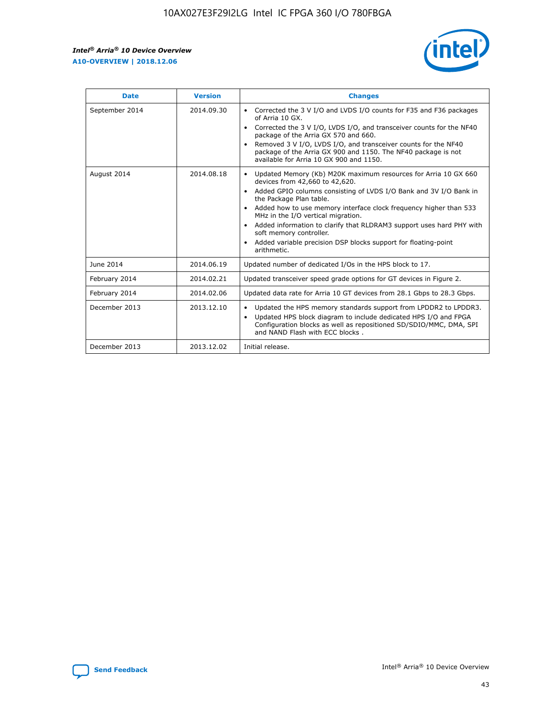

| <b>Date</b>    | <b>Version</b> | <b>Changes</b>                                                                                                                                                                                                                                                                                                                                                                                                                                                                                                                                                   |
|----------------|----------------|------------------------------------------------------------------------------------------------------------------------------------------------------------------------------------------------------------------------------------------------------------------------------------------------------------------------------------------------------------------------------------------------------------------------------------------------------------------------------------------------------------------------------------------------------------------|
| September 2014 | 2014.09.30     | Corrected the 3 V I/O and LVDS I/O counts for F35 and F36 packages<br>$\bullet$<br>of Arria 10 GX.<br>Corrected the 3 V I/O, LVDS I/O, and transceiver counts for the NF40<br>$\bullet$<br>package of the Arria GX 570 and 660.<br>Removed 3 V I/O, LVDS I/O, and transceiver counts for the NF40<br>$\bullet$<br>package of the Arria GX 900 and 1150. The NF40 package is not<br>available for Arria 10 GX 900 and 1150.                                                                                                                                       |
| August 2014    | 2014.08.18     | Updated Memory (Kb) M20K maximum resources for Arria 10 GX 660<br>$\bullet$<br>devices from 42,660 to 42,620.<br>Added GPIO columns consisting of LVDS I/O Bank and 3V I/O Bank in<br>$\bullet$<br>the Package Plan table.<br>Added how to use memory interface clock frequency higher than 533<br>$\bullet$<br>MHz in the I/O vertical migration.<br>Added information to clarify that RLDRAM3 support uses hard PHY with<br>$\bullet$<br>soft memory controller.<br>Added variable precision DSP blocks support for floating-point<br>$\bullet$<br>arithmetic. |
| June 2014      | 2014.06.19     | Updated number of dedicated I/Os in the HPS block to 17.                                                                                                                                                                                                                                                                                                                                                                                                                                                                                                         |
| February 2014  | 2014.02.21     | Updated transceiver speed grade options for GT devices in Figure 2.                                                                                                                                                                                                                                                                                                                                                                                                                                                                                              |
| February 2014  | 2014.02.06     | Updated data rate for Arria 10 GT devices from 28.1 Gbps to 28.3 Gbps.                                                                                                                                                                                                                                                                                                                                                                                                                                                                                           |
| December 2013  | 2013.12.10     | Updated the HPS memory standards support from LPDDR2 to LPDDR3.<br>$\bullet$<br>Updated HPS block diagram to include dedicated HPS I/O and FPGA<br>$\bullet$<br>Configuration blocks as well as repositioned SD/SDIO/MMC, DMA, SPI<br>and NAND Flash with ECC blocks.                                                                                                                                                                                                                                                                                            |
| December 2013  | 2013.12.02     | Initial release.                                                                                                                                                                                                                                                                                                                                                                                                                                                                                                                                                 |